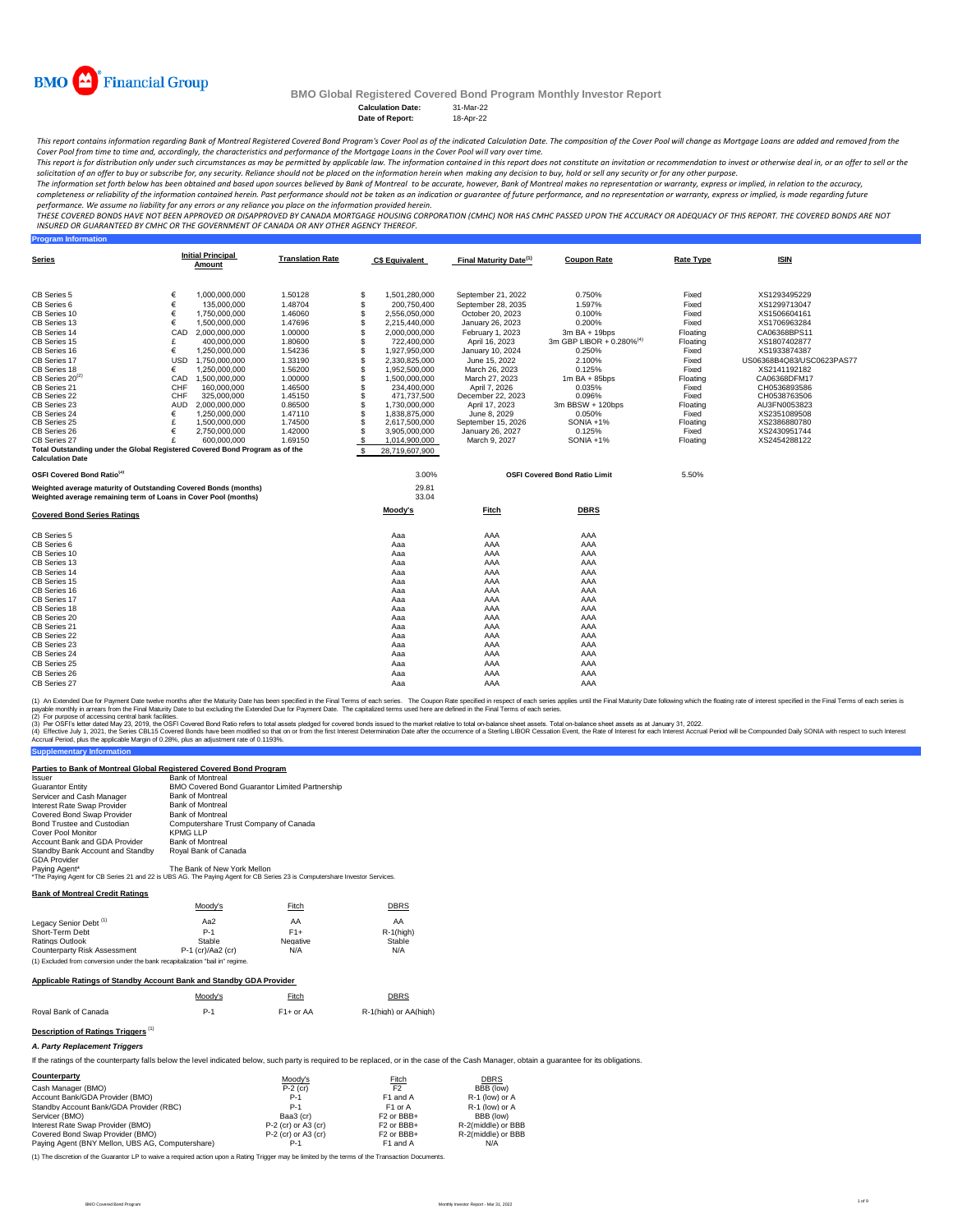

**Program Information**

# **BMO Global Registered Covered Bond Program Monthly Investor Report**

**Calculation Date:** 31-Mar-22 **Date of Report:** 

This report contains information regarding Bank of Montreal Registered Covered Bond Program's Cover Pool as of the indicated Calculation Date. The composition of the Cover Pool will change as Mortgage Loans are added and r *Cover Pool from time to time and, accordingly, the characteristics and performance of the Mortgage Loans in the Cover Pool will vary over time.*

This report is for distribution only under such circumstances as may be permitted by applicable law. The information contained in this report does not constitute an invitation or recommendation to invest or otherwise deal

The information set forth below has been obtained and based upon sources believed by Bank of Montreal , bowever, Bank of Montreal makes no representation or warranty, express or implied, in relation to the accuracy,<br>comple

performance. We assume no liability for any errors or any reliance you place on the information provided herein.<br>THESE COVERED BONDS HAVE NOT BEEN APPROVED BY DANDEN ON DE TO KNAND MORTGGE HOUSING CORPORATION (CMHC) NOR HA *INSURED OR GUARANTEED BY CMHC OR THE GOVERNMENT OF CANADA OR ANY OTHER AGENCY THEREOF.*

| <b>Series</b>                                                                | <b>Initial Principal</b><br>Amount | <b>Translation Rate</b> | <b>C\$ Equivalent</b> | Final Maturity Date <sup>(1)</sup> | <b>Coupon Rate</b>                   | <b>Rate Type</b> | <b>ISIN</b>               |
|------------------------------------------------------------------------------|------------------------------------|-------------------------|-----------------------|------------------------------------|--------------------------------------|------------------|---------------------------|
| CB Series 5                                                                  | €<br>1,000,000,000                 | 1.50128                 | \$<br>1,501,280,000   | September 21, 2022                 | 0.750%                               | Fixed            | XS1293495229              |
| CB Series 6                                                                  | €<br>135,000,000                   | 1.48704                 | \$<br>200,750,400     | September 28, 2035                 | 1.597%                               | Fixed            | XS1299713047              |
| CB Series 10                                                                 | €<br>1,750,000,000                 | 1.46060                 | \$<br>2,556,050,000   | October 20, 2023                   | 0.100%                               | Fixed            | XS1506604161              |
| CB Series 13                                                                 | €<br>1,500,000,000                 | 1.47696                 | \$<br>2,215,440,000   | January 26, 2023                   | 0.200%                               | Fixed            | XS1706963284              |
| CB Series 14                                                                 | CAD<br>2,000,000,000               | 1.00000                 | \$<br>2,000,000,000   | February 1, 2023                   | 3m BA + 19bps                        | Floating         | CA06368BPS11              |
| CB Series 15                                                                 | £<br>400,000,000                   | 1.80600                 | \$<br>722,400,000     | April 16, 2023                     | 3m GBP LIBOR + 0.280% <sup>(4)</sup> | Floating         | XS1807402877              |
| CB Series 16                                                                 | €<br>1.250.000.000                 | 1.54236                 | \$<br>1,927,950,000   | January 10, 2024                   | 0.250%                               | Fixed            | XS1933874387              |
| CB Series 17                                                                 | USD<br>1,750,000,000               | 1.33190                 | \$<br>2,330,825,000   | June 15, 2022                      | 2.100%                               | Fixed            | US06368B4Q83/USC0623PAS77 |
| CB Series 18                                                                 | €<br>1.250.000.000                 | 1.56200                 | \$<br>1,952,500,000   | March 26, 2023                     | 0.125%                               | Fixed            | XS2141192182              |
| CB Series 20 <sup>(2)</sup>                                                  | CAD<br>1.500.000.000               | 1.00000                 | \$<br>1.500.000.000   | March 27, 2023                     | $1m$ BA + 85bps                      | Floating         | CA06368DFM17              |
| CB Series 21                                                                 | CHF<br>160,000,000                 | 1.46500                 | S<br>234.400.000      | April 7, 2026                      | 0.035%                               | Fixed            | CH0536893586              |
| CB Series 22                                                                 | CHF<br>325,000,000                 | 1.45150                 | S<br>471,737,500      | December 22, 2023                  | 0.096%                               | Fixed            | CH0538763506              |
| CB Series 23                                                                 | <b>AUD</b><br>2,000,000,000        | 0.86500                 | \$<br>1,730,000,000   | April 17, 2023                     | 3m BBSW + 120bps                     | Floating         | AU3FN0053823              |
| CB Series 24                                                                 | €<br>1,250,000,000                 | 1.47110                 | \$<br>1,838,875,000   | June 8, 2029                       | 0.050%                               | Fixed            | XS2351089508              |
| CB Series 25                                                                 | £<br>1.500.000.000                 | 1,74500                 | \$<br>2,617,500,000   | September 15, 2026                 | $SONIA + 1%$                         | Floating         | XS2386880780              |
| CB Series 26                                                                 | €<br>2,750,000,000                 | 1.42000                 | \$<br>3,905,000,000   | January 26, 2027                   | 0.125%                               | Fixed            | XS2430951744              |
| CB Series 27                                                                 | £<br>600,000,000                   | 1.69150                 | \$<br>1,014,900,000   | March 9, 2027                      | SONIA +1%                            | Floating         | XS2454288122              |
| Total Outstanding under the Global Registered Covered Bond Program as of the |                                    |                         | \$<br>28,719,607,900  |                                    |                                      |                  |                           |
| <b>Calculation Date</b>                                                      |                                    |                         |                       |                                    |                                      |                  |                           |
| OSFI Covered Bond Ratio <sup>(3)</sup>                                       |                                    |                         | 3.00%                 |                                    | <b>OSFI Covered Bond Ratio Limit</b> | 5.50%            |                           |
| Weighted average maturity of Outstanding Covered Bonds (months)              |                                    |                         | 29.81                 |                                    |                                      |                  |                           |
| Weighted average remaining term of Loans in Cover Pool (months)              |                                    |                         | 33.04                 |                                    |                                      |                  |                           |
| <b>Covered Bond Series Ratings</b>                                           |                                    |                         | Moody's               | Fitch                              | <b>DBRS</b>                          |                  |                           |
|                                                                              |                                    |                         |                       |                                    |                                      |                  |                           |
| CB Series 5                                                                  |                                    |                         | Aaa                   | AAA                                | AAA                                  |                  |                           |
| CB Series 6                                                                  |                                    |                         | Aaa                   | AAA                                | AAA                                  |                  |                           |
| CB Series 10                                                                 |                                    |                         | Aaa                   | AAA                                | AAA                                  |                  |                           |
| CB Series 13                                                                 |                                    |                         | Aaa                   | AAA                                | AAA                                  |                  |                           |
| CB Series 14                                                                 |                                    |                         | Aaa                   | AAA                                | AAA                                  |                  |                           |
| CB Series 15                                                                 |                                    |                         | Aaa                   | AAA                                | AAA                                  |                  |                           |
| CB Series 16                                                                 |                                    |                         | Aaa                   | AAA                                | AAA                                  |                  |                           |
| CB Series 17                                                                 |                                    |                         | Aaa                   | AAA                                | AAA                                  |                  |                           |
| CB Series 18                                                                 |                                    |                         | Aaa                   | AAA                                | AAA                                  |                  |                           |
| CB Series 20                                                                 |                                    |                         | Aaa                   | AAA                                | AAA                                  |                  |                           |
| CB Series 21                                                                 |                                    |                         | Aaa                   | AAA                                | AAA                                  |                  |                           |
| CB Series 22                                                                 |                                    |                         | Aaa                   | AAA                                | AAA                                  |                  |                           |
| CB Series 23                                                                 |                                    |                         | Aaa                   | AAA                                | AAA                                  |                  |                           |
| CB Series 24                                                                 |                                    |                         | Aaa                   | AAA                                | AAA                                  |                  |                           |
| CB Series 25                                                                 |                                    |                         | Aaa                   | AAA                                | AAA                                  |                  |                           |
| CB Series 26                                                                 |                                    |                         | Aaa                   | AAA                                | AAA                                  |                  |                           |
| CB Series 27                                                                 |                                    |                         | Aaa                   | AAA                                | AAA                                  |                  |                           |
|                                                                              |                                    |                         |                       |                                    |                                      |                  |                           |

(1) An Extended Due for Payment Date twelve months after the Maturity Date has been specified in the Final of each series. The Coupon Rate specified in the Final Tems of each series is<br>payable monthy in arrears from the Fi

(2) For purpose of accessing central bank facilities.

**Supplementary Information** (3) Per OSFI's letter dated May 23, 2019, the OSFI Covered Bond Ratio refers to total assets pledged for covered bonds issued to the market relative to total on-balance sheet assets. Total on-balance sheet assets as at Jan

#### **Parties to Bank of Montreal Global Registered Covered Bond Program**

| Issuer                           | <b>Bank of Montreal</b>                                                                                                    |
|----------------------------------|----------------------------------------------------------------------------------------------------------------------------|
| <b>Guarantor Entity</b>          | <b>BMO Covered Bond Guarantor Limited Partnership</b>                                                                      |
| Servicer and Cash Manager        | <b>Bank of Montreal</b>                                                                                                    |
| Interest Rate Swap Provider      | <b>Bank of Montreal</b>                                                                                                    |
| Covered Bond Swap Provider       | <b>Bank of Montreal</b>                                                                                                    |
| Bond Trustee and Custodian       | Computershare Trust Company of Canada                                                                                      |
| Cover Pool Monitor               | <b>KPMG LLP</b>                                                                                                            |
| Account Bank and GDA Provider    | <b>Bank of Montreal</b>                                                                                                    |
| Standby Bank Account and Standby | Royal Bank of Canada                                                                                                       |
| <b>GDA Provider</b>              |                                                                                                                            |
| Paying Agent*                    | The Bank of New York Mellon                                                                                                |
|                                  | *The Paying Agent for CB Series 21 and 22 is UBS AG. The Paying Agent for CB Series 23 is Computershare Investor Services. |

**Bank of Montreal Credit Ratings**

|                                                                                | Moodv's             | Fitch    | <b>DBRS</b>  |
|--------------------------------------------------------------------------------|---------------------|----------|--------------|
| Legacy Senior Debt <sup>(1)</sup>                                              | Aa2                 | AA       | AA           |
| Short-Term Debt                                                                | $P-1$               | $F1+$    | $R-1$ (high) |
| Ratings Outlook                                                                | Stable              | Negative | Stable       |
| Counterparty Risk Assessment                                                   | $P-1$ (cr)/Aa2 (cr) | N/A      | N/A          |
| (1) Excluded from conversion under the bank recapitalization "bail in" regime. |                     |          |              |

## **Applicable Ratings of Standby Account Bank and Standby GDA Provider**

|                      | Moodv's | Fitch       | <b>DBRS</b><br><u> The Communication of the Communication of</u> |
|----------------------|---------|-------------|------------------------------------------------------------------|
| Roval Bank of Canada | P-1     | $F1+$ or AA | R-1(high) or AA(high)                                            |

### **Description of Ratings Triggers** (1)

#### *A. Party Replacement Triggers*

If the ratings of the counterparty falls below the level indicated below, such party is required to be replaced, or in the case of the Cash Manager, obtain a guarantee for its obligations.

| Counterparty                                     | Moody's               | Fitch                             | <b>DBRS</b>        |
|--------------------------------------------------|-----------------------|-----------------------------------|--------------------|
| Cash Manager (BMO)                               | $P-2$ (cr)            | F <sub>2</sub>                    | BBB (low)          |
| Account Bank/GDA Provider (BMO)                  | $P-1$                 | F1 and A                          | R-1 (low) or A     |
| Standby Account Bank/GDA Provider (RBC)          | $P-1$                 | F <sub>1</sub> or A               | R-1 (low) or A     |
| Servicer (BMO)                                   | Baa3 (cr)             | F <sub>2</sub> or BB <sub>+</sub> | BBB (low)          |
| Interest Rate Swap Provider (BMO)                | $P-2$ (cr) or A3 (cr) | F <sub>2</sub> or BB <sub>+</sub> | R-2(middle) or BBB |
| Covered Bond Swap Provider (BMO)                 | $P-2$ (cr) or A3 (cr) | F <sub>2</sub> or BB <sub>+</sub> | R-2(middle) or BBB |
| Paving Agent (BNY Mellon, UBS AG, Computershare) | $P-1$                 | F1 and A                          | N/A                |

(1) The discretion of the Guarantor LP to waive a required action upon a Rating Trigger may be limited by the terms of the Transaction Docum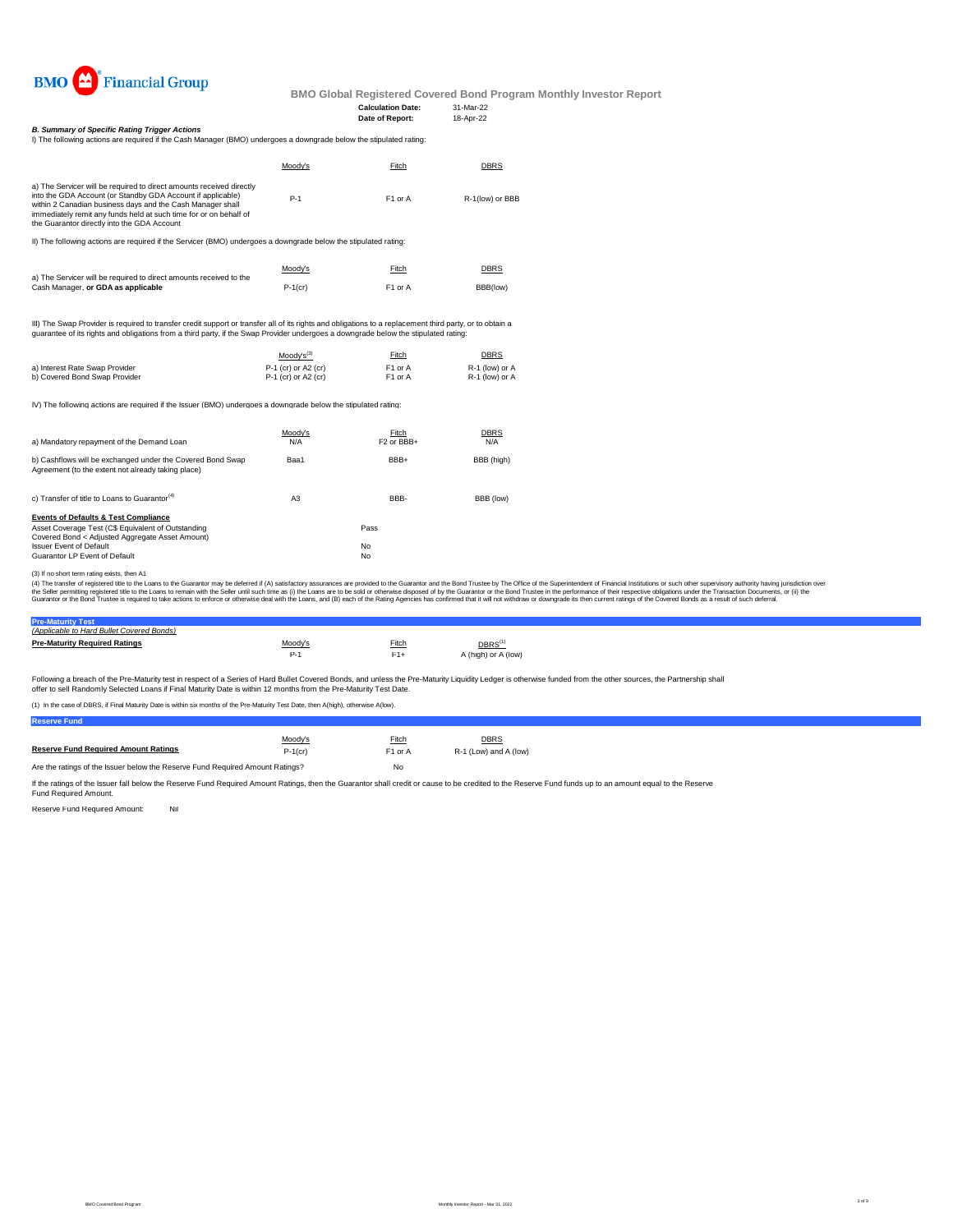

#### **Calculation Date:** 31-Mar-22 **Date of Report:**

*B. Summary of Specific Rating Trigger Actions*

| I) The following actions are required if the Cash Manager (BMO) undergoes a downgrade below the stipulated rating:                                                                                                                                                                                                    |         |                     |                 |
|-----------------------------------------------------------------------------------------------------------------------------------------------------------------------------------------------------------------------------------------------------------------------------------------------------------------------|---------|---------------------|-----------------|
|                                                                                                                                                                                                                                                                                                                       | Moodv's | Fitch               | <b>DBRS</b>     |
| a) The Servicer will be required to direct amounts received directly<br>into the GDA Account (or Standby GDA Account if applicable)<br>within 2 Canadian business days and the Cash Manager shall<br>immediately remit any funds held at such time for or on behalf of<br>the Guarantor directly into the GDA Account | $P-1$   | F <sub>1</sub> or A | R-1(low) or BBB |

II) The following actions are required if the Servicer (BMO) undergoes a downgrade below the stipulated rating:

|                                                                    | Moody's    | Fitch               | <b>DBRS</b> |
|--------------------------------------------------------------------|------------|---------------------|-------------|
| a) The Servicer will be required to direct amounts received to the |            |                     |             |
| Cash Manager, or GDA as applicable                                 | $P-1$ (cr) | F <sub>1</sub> or A | BBB(low)    |

III) The Swap Provider is required to transfer credit support or transfer all of its rights and obligations to a replacement third party, or to obtain a<br>guarantee of its rights and obligations from a third party, if the Sw

|                                | $Mody's^{(3)}$        | Fitch               | <b>DBRS</b>    |
|--------------------------------|-----------------------|---------------------|----------------|
| a) Interest Rate Swap Provider | $P-1$ (cr) or A2 (cr) | F <sub>1</sub> or A | R-1 (low) or A |
| b) Covered Bond Swap Provider  | $P-1$ (cr) or A2 (cr) | F1 or A             | R-1 (low) or A |

IV) The following actions are required if the Issuer (BMO) undergoes a downgrade below the stipulated rating:

| a) Mandatory repayment of the Demand Loan                                                                        | Moodv's<br>N/A | Fitch<br>F <sub>2</sub> or BB <sub>+</sub> | <b>DBRS</b><br>N/A |
|------------------------------------------------------------------------------------------------------------------|----------------|--------------------------------------------|--------------------|
| b) Cashflows will be exchanged under the Covered Bond Swap<br>Agreement (to the extent not already taking place) | Baa1           | BBB+                                       | BBB (high)         |
| c) Transfer of title to Loans to Guarantor <sup>(4)</sup>                                                        | A3             | BBB-                                       | BBB (low)          |
| <b>Events of Defaults &amp; Test Compliance</b>                                                                  |                |                                            |                    |
| Asset Coverage Test (C\$ Equivalent of Outstanding                                                               |                | Pass                                       |                    |
| Covered Bond < Adiusted Aggregate Asset Amount)<br><b>Issuer Event of Default</b>                                |                | No                                         |                    |
| Guarantor LP Event of Default                                                                                    |                | No                                         |                    |

(3) I no short term rating exists, then A1<br>(4) The transfer of registered title to the Cuarator may be deferred if (A) satisfactory assurances are provided to the Guarantor and the Bond Trustee by The Office of the Superin

# **Pre-Maturity Test** *(Applicable to Hard Bullet Covered Bonds)*

| <b>Pre-Maturity Required Ratings</b> | Moodv's | Fitch | DBRS <sup>(1)</sup> |
|--------------------------------------|---------|-------|---------------------|
|                                      |         |       | A (high) or A (low) |
|                                      |         |       |                     |

Following a breach of the Pre-Maturity test in respect of a Series of Hard Bullet Covered Bonds, and unless the Pre-Maturity Liquidity Ledger is otherwise funded from the other sources, the Partnership shall offer to sell Randomly Selected Loans if Final Maturity Date is within 12 months from the Pre-Maturity Test Date.

(1) In the case of DBRS, if Final Maturity Date is within six months of the Pre-Maturity Test Date, then A(high), otherwise A(low).

**Reserve Fund**

|                                                                               | Moody's    | Fitch               | DBRS                  |  |
|-------------------------------------------------------------------------------|------------|---------------------|-----------------------|--|
| <b>Reserve Fund Required Amount Ratings</b>                                   | $P-1$ (cr) | F <sub>1</sub> or A | R-1 (Low) and A (low) |  |
| Are the ratings of the Issuer below the Reserve Fund Reguired Amount Ratings? |            | No                  |                       |  |

If the ratings of the Issuer fall below the Reserve Fund Required Amount Ratings, then the Guarantor shall credit or cause to be credited to the Reserve Fund funds up to an amount equal to the Reserve<br>Fund Required Amount.

Reserve Fund Required Amount: Nil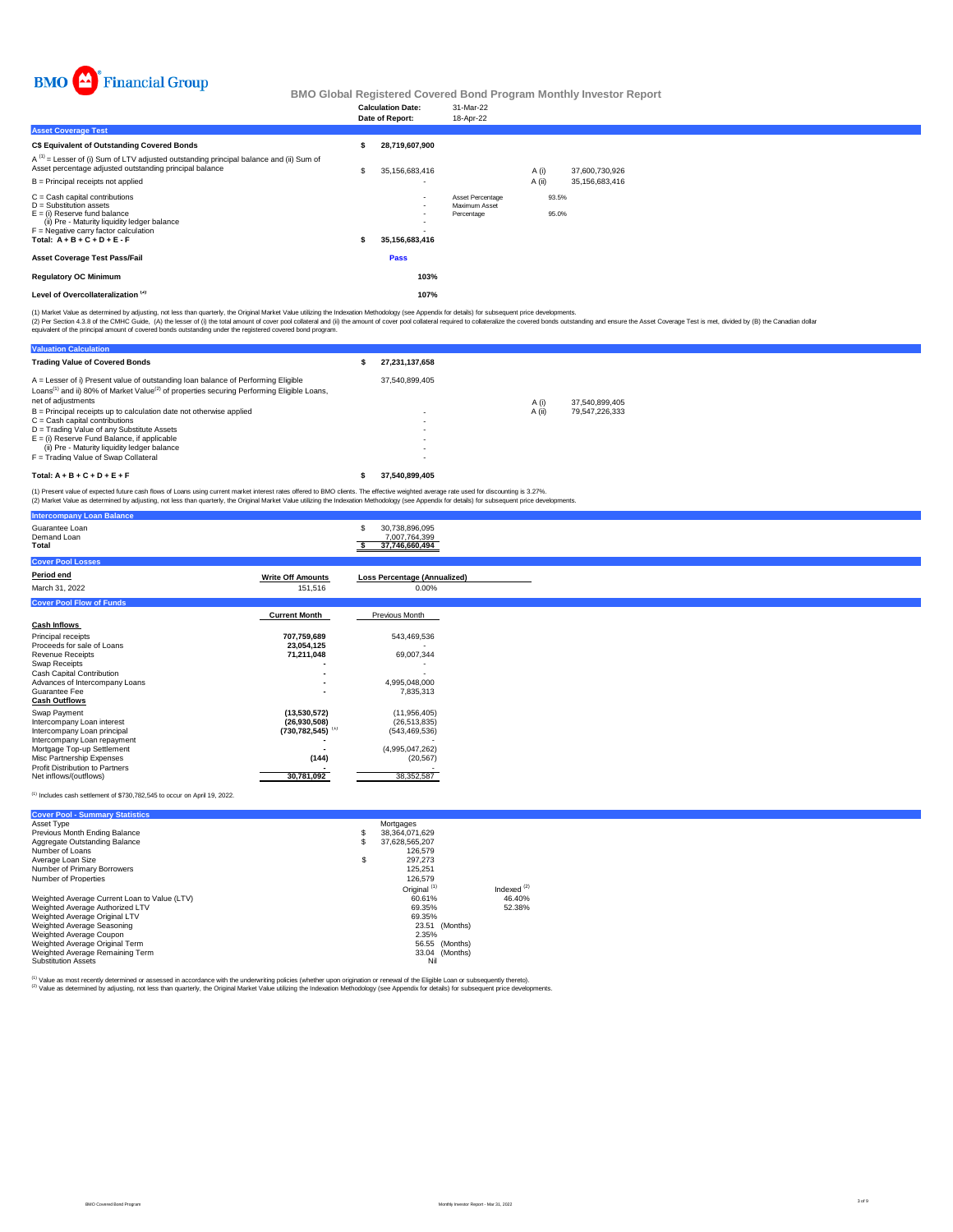

|                                                                                                                                                                                                                    | <b>Calculation Date:</b><br>Date of Report:      | 31-Mar-22<br>18-Apr-22                          |                |                |                                  |  |  |  |
|--------------------------------------------------------------------------------------------------------------------------------------------------------------------------------------------------------------------|--------------------------------------------------|-------------------------------------------------|----------------|----------------|----------------------------------|--|--|--|
| <b>Asset Coverage Test</b>                                                                                                                                                                                         |                                                  |                                                 |                |                |                                  |  |  |  |
| C\$ Equivalent of Outstanding Covered Bonds                                                                                                                                                                        | 28,719,607,900                                   |                                                 |                |                |                                  |  |  |  |
| $A^{(1)}$ = Lesser of (i) Sum of LTV adjusted outstanding principal balance and (ii) Sum of<br>Asset percentage adjusted outstanding principal balance<br>B = Principal receipts not applied                       | \$<br>35,156,683,416<br>$\overline{\phantom{0}}$ |                                                 | A(i)<br>A (ii) |                | 37,600,730,926<br>35,156,683,416 |  |  |  |
| C = Cash capital contributions<br>D = Substitution assets<br>E = (i) Reserve fund balance<br>(ii) Pre - Maturity liquidity ledger balance<br>F = Negative carry factor calculation<br>Total: A + B + C + D + E - F | $\overline{\phantom{a}}$<br>35,156,683,416       | Asset Percentage<br>Maximum Asset<br>Percentage |                | 93.5%<br>95.0% |                                  |  |  |  |
| Asset Coverage Test Pass/Fail                                                                                                                                                                                      | Pass                                             |                                                 |                |                |                                  |  |  |  |
| <b>Regulatory OC Minimum</b>                                                                                                                                                                                       | 103%                                             |                                                 |                |                |                                  |  |  |  |
| Level of Overcollateralization <sup>(2)</sup>                                                                                                                                                                      | 107%                                             |                                                 |                |                |                                  |  |  |  |
|                                                                                                                                                                                                                    |                                                  |                                                 |                |                |                                  |  |  |  |

(1) Market Value as determined by adjusting, not less than quarterly, the Original Market Value utilizing the Indexation Methodology (see Appendix for details) for subsequent price developments.

(2) Per Section 4.3.8 of the CMHC Guide, (A) the lesser of (i) the tatal anount of cover prod collateral of (ii) the amount of cover pool collateral required to collateralize the covered bonds custanding and ensure the Ass

| <b>Valuation Calculation</b>                                                                                                                                                                                                                                                                     |                                                                                                                                          |        |                |  |
|--------------------------------------------------------------------------------------------------------------------------------------------------------------------------------------------------------------------------------------------------------------------------------------------------|------------------------------------------------------------------------------------------------------------------------------------------|--------|----------------|--|
| <b>Trading Value of Covered Bonds</b>                                                                                                                                                                                                                                                            | 27.231.137.658                                                                                                                           |        |                |  |
| A = Lesser of i) Present value of outstanding loan balance of Performing Eligible<br>Loans <sup>(1)</sup> and ii) 80% of Market Value <sup>(2)</sup> of properties securing Performing Eligible Loans,<br>net of adjustments                                                                     | 37.540.899.405                                                                                                                           | A (i)  | 37.540.899.405 |  |
| $B =$ Principal receipts up to calculation date not otherwise applied<br>$C =$ Cash capital contributions<br>D = Trading Value of any Substitute Assets<br>$E =$ (i) Reserve Fund Balance, if applicable<br>(ii) Pre - Maturity liquidity ledger balance<br>F = Trading Value of Swap Collateral | $\overline{\phantom{0}}$<br>$\overline{\phantom{0}}$<br>$\overline{\phantom{0}}$<br>$\overline{\phantom{a}}$<br>$\overline{\phantom{0}}$ | A (ii) | 79.547.226.333 |  |
| Total: $A + B + C + D + E + F$                                                                                                                                                                                                                                                                   | 37.540.899.405                                                                                                                           |        |                |  |

(1) Present value of expected future cash flows of Loans using current market interest rates offered to BMO clients. The effective weighted average rate used for discounting is 3.27%.<br>(2) Market Value as determined by adju

| <b>Intercompany Loan Balance</b>                           |                                  |                                                   |
|------------------------------------------------------------|----------------------------------|---------------------------------------------------|
| Guarantee Loan<br>Demand Loan<br>Total                     |                                  | 30,738,896,095<br>7,007,764,399<br>37,746,660,494 |
| <b>Cover Pool Losses</b>                                   |                                  |                                                   |
| Period end                                                 | <b>Write Off Amounts</b>         | <b>Loss Percentage (Annualized)</b>               |
| March 31, 2022                                             | 151,516                          | 0.00%                                             |
| <b>Cover Pool Flow of Funds</b>                            |                                  |                                                   |
|                                                            | <b>Current Month</b>             | Previous Month                                    |
| <b>Cash Inflows</b>                                        |                                  |                                                   |
| Principal receipts                                         | 707,759,689                      | 543,469,536                                       |
| Proceeds for sale of Loans                                 | 23,054,125                       |                                                   |
| <b>Revenue Receipts</b><br>Swap Receipts                   | 71,211,048                       | 69,007,344                                        |
| Cash Capital Contribution                                  |                                  |                                                   |
| Advances of Intercompany Loans                             |                                  | 4,995,048,000                                     |
| Guarantee Fee                                              |                                  | 7,835,313                                         |
| <b>Cash Outflows</b>                                       |                                  |                                                   |
| Swap Payment                                               | (13,530,572)                     | (11,956,405)                                      |
| Intercompany Loan interest                                 | (26,930,508)                     | (26, 513, 835)                                    |
| Intercompany Loan principal<br>Intercompany Loan repayment | $(730, 782, 545)$ <sup>(1)</sup> | (543, 469, 536)                                   |
| Mortgage Top-up Settlement                                 |                                  | (4,995,047,262)                                   |
| Misc Partnership Expenses                                  | (144)                            | (20, 567)                                         |
| Profit Distribution to Partners                            |                                  |                                                   |
| Net inflows/(outflows)                                     | 30,781,092                       | 38,352,587                                        |

#### $<sup>(1)</sup>$  Includes cash settlement of \$730,782,545 to occur on April 19, 2022.</sup>

| <b>Cover Pool - Summary Statistics</b>       |   |                         |                |               |
|----------------------------------------------|---|-------------------------|----------------|---------------|
| Asset Type                                   |   | Mortgages               |                |               |
| Previous Month Ending Balance                | s | 38.364.071.629          |                |               |
| Aggregate Outstanding Balance                | s | 37.628.565.207          |                |               |
| Number of Loans                              |   | 126,579                 |                |               |
| Average Loan Size                            | S | 297.273                 |                |               |
| Number of Primary Borrowers                  |   | 125.251                 |                |               |
| Number of Properties                         |   | 126,579                 |                |               |
|                                              |   | Original <sup>(1)</sup> |                | Indexed $(2)$ |
| Weighted Average Current Loan to Value (LTV) |   | 60.61%                  |                | 46.40%        |
| Weighted Average Authorized LTV              |   | 69.35%                  |                | 52.38%        |
| Weighted Average Original LTV                |   | 69.35%                  |                |               |
| Weighted Average Seasoning                   |   |                         | 23.51 (Months) |               |
| Weighted Average Coupon                      |   | 2.35%                   |                |               |
| Weighted Average Original Term               |   |                         | 56.55 (Months) |               |
| Weighted Average Remaining Term              |   |                         | 33.04 (Months) |               |
| <b>Substitution Assets</b>                   |   | Nil                     |                |               |

<sup>(1)</sup> Value as most recently determined or assessed in accordance with the underwriting policies (whether upon origination or renewal of the Eligible Loan or subsequently thereto).<br><sup>(2)</sup> Value as determined by adjusting, n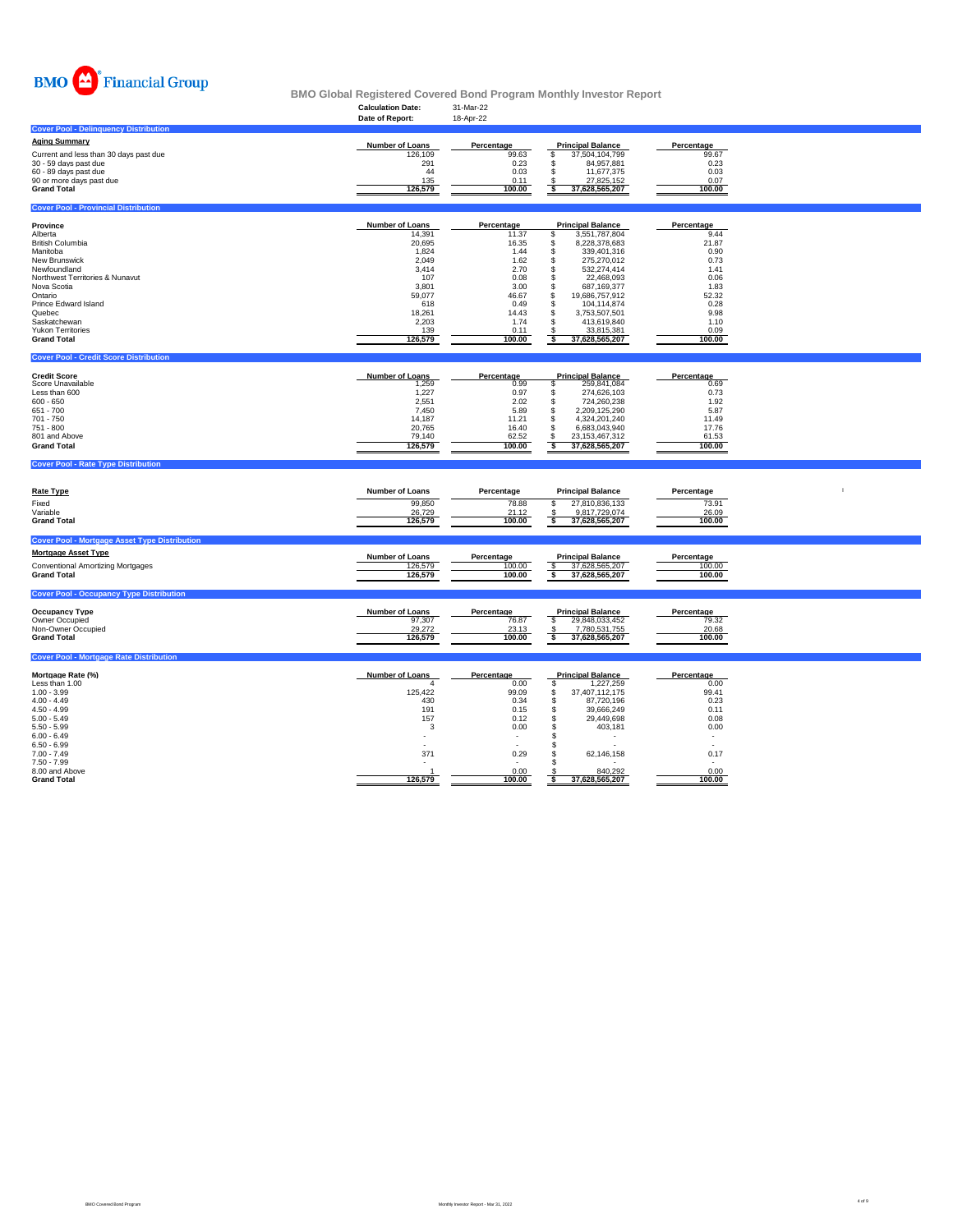

# **Calculation Date:** 31-Mar-22 **BMO Global Registered Covered Bond Program Monthly Investor Report**

|                                                      | טששט וועמונים<br>Date of Report: | <b>UI IVIGI 44</b><br>18-Apr-22 |                                              |                                  |  |
|------------------------------------------------------|----------------------------------|---------------------------------|----------------------------------------------|----------------------------------|--|
| <b>Cover Pool - Delinquency Distribution</b>         |                                  |                                 |                                              |                                  |  |
| <b>Aging Summary</b>                                 | <b>Number of Loans</b>           | Percentage                      | <b>Principal Balance</b>                     | Percentage                       |  |
| Current and less than 30 days past due               | 126,109                          | 99.63                           | \$<br>37,504,104,799                         | 99.67                            |  |
| 30 - 59 days past due                                | 291                              | 0.23                            | \$<br>84,957,881                             | 0.23                             |  |
| 60 - 89 days past due                                | 44                               | 0.03                            | 11,677,375<br>$\mathfrak{L}$                 | 0.03                             |  |
| 90 or more days past due<br><b>Grand Total</b>       | 135<br>126,579                   | 0.11<br>100.00                  | 27,825,152<br>37,628,565,207<br>s            | 0.07<br>100.00                   |  |
|                                                      |                                  |                                 |                                              |                                  |  |
| <b>Cover Pool - Provincial Distribution</b>          |                                  |                                 |                                              |                                  |  |
| Province                                             | Number of Loans                  | Percentage                      | <b>Principal Balance</b>                     | Percentage                       |  |
| Alberta                                              | 14,391                           | 11.37                           | 3,551,787,804<br>\$                          | 9.44                             |  |
| British Columbia                                     | 20,695                           | 16.35                           | 8,228,378,683<br>\$                          | 21.87                            |  |
| Manitoba<br>New Brunswick                            | 1,824<br>2,049                   | 1.44<br>1.62                    | 339,401,316<br>s<br>s<br>275,270,012         | 0.90<br>0.73                     |  |
| Newfoundland                                         | 3,414                            | 2.70                            | s<br>532,274,414                             | 1.41                             |  |
| Northwest Territories & Nunavut                      | 107                              | 0.08                            | \$<br>22,468,093                             | 0.06                             |  |
| Nova Scotia                                          | 3,801                            | 3.00                            | \$<br>687,169,377                            | 1.83                             |  |
| Ontario<br>Prince Edward Island                      | 59,077<br>618                    | 46.67<br>0.49                   | \$<br>19,686,757,912<br>s<br>104,114,874     | 52.32<br>0.28                    |  |
| Quebec                                               | 18,261                           | 14.43                           | \$<br>3,753,507,501                          | 9.98                             |  |
| Saskatchewan                                         | 2,203                            | 1.74                            | s<br>413,619,840                             | 1.10                             |  |
| <b>Yukon Territories</b>                             | 139                              | 0.11                            | 33,815,381<br>$\frac{3}{5}$                  | 0.09                             |  |
| <b>Grand Total</b>                                   | 126,579                          | 100.00                          | 37,628,565,207                               | 100.00                           |  |
| <b>Cover Pool - Credit Score Distribution</b>        |                                  |                                 |                                              |                                  |  |
|                                                      |                                  |                                 |                                              |                                  |  |
| <b>Credit Score</b><br>Score Unavailable             | <b>Number of Loans</b><br>1,259  | Percentage<br>0.99              | <b>Principal Balance</b><br>s<br>259,841,084 | Percentage<br>0.69               |  |
| Less than 600                                        | 1,227                            | 0.97                            | 274,626,103<br>s                             | 0.73                             |  |
| $600 - 650$                                          | 2,551                            | 2.02                            | s<br>724,260,238                             | 1.92                             |  |
| $651 - 700$<br>701 - 750                             | 7,450<br>14,187                  | 5.89<br>11.21                   | 2,209,125,290<br>\$<br>\$<br>4,324,201,240   | 5.87<br>11.49                    |  |
| 751 - 800                                            | 20,765                           | 16.40                           | \$<br>6,683,043,940                          | 17.76                            |  |
| 801 and Above                                        | 79,140                           | 62.52                           | \$<br>23, 153, 467, 312                      | 61.53                            |  |
|                                                      |                                  |                                 |                                              |                                  |  |
| <b>Grand Total</b>                                   | 126,579                          | 100.00                          | s<br>37,628,565,207                          | 100.00                           |  |
|                                                      |                                  |                                 |                                              |                                  |  |
| <b>Cover Pool - Rate Type Distribution</b>           |                                  |                                 |                                              |                                  |  |
|                                                      |                                  |                                 |                                              |                                  |  |
| <b>Rate Type</b>                                     | <b>Number of Loans</b>           | Percentage                      | <b>Principal Balance</b>                     | Percentage                       |  |
| Fixed<br>Variable                                    | 99,850                           | 78.88<br>21.12                  | 27,810,836,133<br>\$                         | 73.91                            |  |
| <b>Grand Total</b>                                   | 26,729<br>126,579                | 100.00                          | 9,817,729,074<br>\$<br>s<br>37,628,565,207   | 26.09<br>100.00                  |  |
|                                                      |                                  |                                 |                                              |                                  |  |
| <b>Cover Pool - Mortgage Asset Type Distribution</b> |                                  |                                 |                                              |                                  |  |
| <b>Mortgage Asset Type</b>                           | <b>Number of Loans</b>           | Percentage                      | <b>Principal Balance</b>                     | Percentage                       |  |
| <b>Conventional Amortizing Mortgages</b>             | 126,579                          | 100.00                          | \$<br>37,628,565,207                         | 100.00                           |  |
| <b>Grand Total</b>                                   | 126,579                          | 100.00                          | $\overline{\mathbf{s}}$<br>37,628,565,207    | 100.00                           |  |
| <b>Cover Pool - Occupancy Type Distribution</b>      |                                  |                                 |                                              |                                  |  |
|                                                      |                                  |                                 |                                              |                                  |  |
| <b>Occupancy Type</b>                                | <b>Number of Loans</b>           | Percentage                      | <b>Principal Balance</b>                     | Percentage                       |  |
| Owner Occupied<br>Non-Owner Occupied                 | 97,307<br>29,272                 | 76.87<br>23.13                  | S<br>29,848,033,452<br>7,780,531,755<br>-S   | 79.32<br>20.68                   |  |
| <b>Grand Total</b>                                   | 126,579                          | 100.00                          | ॱऽ<br>37,628,565,207                         | 100.00                           |  |
| <b>Cover Pool - Mortgage Rate Distribution</b>       |                                  |                                 |                                              |                                  |  |
|                                                      |                                  |                                 |                                              |                                  |  |
| Mortgage Rate (%)                                    | Number of Loans                  | Percentage                      | <b>Principal Balance</b>                     | Percentage                       |  |
| Less than 1.00<br>$1.00 - 3.99$                      | 4<br>125,422                     | 0.00<br>99.09                   | \$<br>1,227,259<br>\$<br>37,407,112,175      | 0.00<br>99.41                    |  |
| $4.00 - 4.49$                                        | 430                              | 0.34                            | 87,720,196<br>\$                             | 0.23                             |  |
| $4.50 - 4.99$                                        | 191                              | 0.15                            | 39,666,249<br>\$                             | 0.11                             |  |
| $5.00 - 5.49$                                        | 157                              | 0.12                            | \$<br>29,449,698<br><b>s</b>                 | 0.08                             |  |
| $5.50 - 5.99$<br>$6.00 - 6.49$                       | 3                                | 0.00                            | 403,181                                      | 0.00<br>$\overline{\phantom{a}}$ |  |
| $6.50 - 6.99$                                        |                                  |                                 | -S                                           | $\overline{a}$                   |  |
| $7.00 - 7.49$                                        | 371                              | 0.29                            | 62,146,158<br>£.                             | 0.17                             |  |
| $7.50 - 7.99$<br>8.00 and Above                      | 126,579                          | $\overline{a}$<br>0.00          | <b>s</b><br>840,292                          | 0.00                             |  |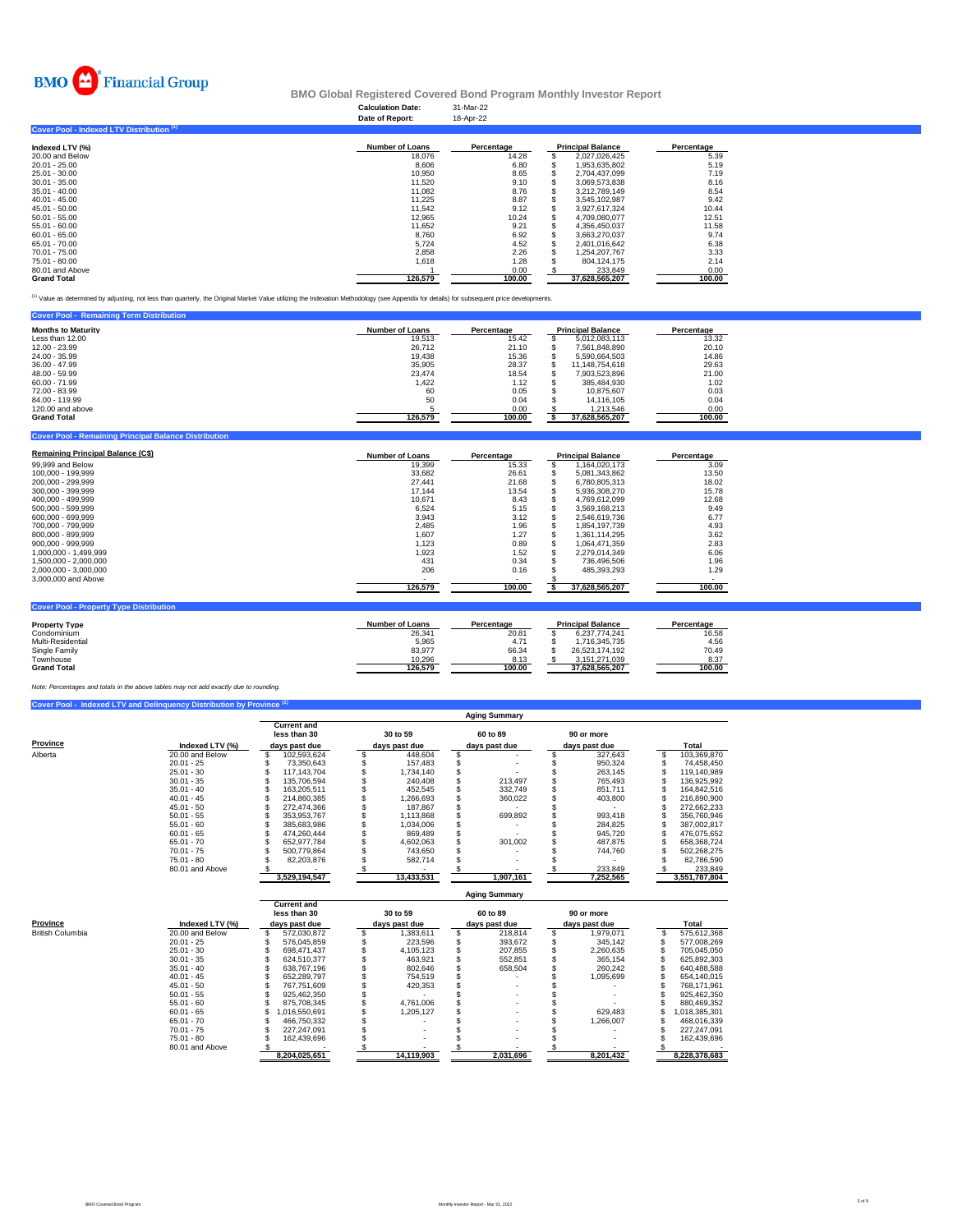

### **Calculation Date:** 31-Mar-22 **BMO Global Registered Covered Bond Program Monthly Investor Report**

|                                           | Date of Report:        | 18-Apr-22  |                          |            |
|-------------------------------------------|------------------------|------------|--------------------------|------------|
| Cover Pool - Indexed LTV Distribution (1) |                        |            |                          |            |
| Indexed LTV (%)                           | <b>Number of Loans</b> | Percentage | <b>Principal Balance</b> | Percentage |
| 20.00 and Below                           | 18,076                 | 14.28      | 2,027,026,425            | 5.39       |
| 20.01 - 25.00                             | 8.606                  | 6.80       | 1,953,635,802            | 5.19       |
| 25.01 - 30.00                             | 10,950                 | 8.65       | 2.704.437.099            | 7.19       |
| 30.01 - 35.00                             | 11.520                 | 9.10       | 3,069,573,838            | 8.16       |
| 35.01 - 40.00                             | 11.082                 | 8.76       | 3.212.789.149            | 8.54       |
| $40.01 - 45.00$                           | 11.225                 | 8.87       | 3.545.102.987            | 9.42       |
| 45.01 - 50.00                             | 11.542                 | 9.12       | 3.927.617.324            | 10.44      |
| $50.01 - 55.00$                           | 12.965                 | 10.24      | 4.709.080.077            | 12.51      |
| 55.01 - 60.00                             | 11.652                 | 9.21       | 4.356.450.037            | 11.58      |
| $60.01 - 65.00$                           | 8.760                  | 6.92       | 3,663,270,037            | 9.74       |
| 65.01 - 70.00                             | 5,724                  | 4.52       | 2,401,016,642            | 6.38       |
| 70.01 - 75.00                             | 2,858                  | 2.26       | 1,254,207,767            | 3.33       |
| 75.01 - 80.00                             | 1,618                  | 1.28       | 804.124.175              | 2.14       |
| 80.01 and Above                           |                        | 0.00       | 233.849                  | 0.00       |
| <b>Grand Total</b>                        | 126.579                | 100.00     | 37,628,565,207           | 100.00     |

<sup>(1)</sup> Value as determined by adjusting, not less than quarterly, the Original Market Value utilizing the Indexation Methodology (see Appendix for details) for su

| <b>Cover Pool - Remaining Term Distribution</b> |                        |            |                          |            |
|-------------------------------------------------|------------------------|------------|--------------------------|------------|
| <b>Months to Maturity</b>                       | <b>Number of Loans</b> | Percentage | <b>Principal Balance</b> | Percentage |
| Less than 12.00                                 | 19.513                 | 15.42      | 5.012.083.113            | 13.32      |
| 12.00 - 23.99                                   | 26.712                 | 21.10      | 7.561.848.890            | 20.10      |
| 24.00 - 35.99                                   | 19.438                 | 15.36      | 5.590.664.503            | 14.86      |
| $36.00 - 47.99$                                 | 35.905                 | 28.37      | 11.148.754.618           | 29.63      |
| 48.00 - 59.99                                   | 23.474                 | 18.54      | 7.903.523.896            | 21.00      |
| $60.00 - 71.99$                                 | 1.422                  | 1.12       | 385.484.930              | 1.02       |
| 72.00 - 83.99                                   | 60                     | 0.05       | 10.875.607               | 0.03       |
| 84.00 - 119.99                                  | 50                     | 0.04       | 14.116.105               | 0.04       |
| 120,00 and above                                |                        | 0.00       | 1.213.546                | 0.00       |
| <b>Grand Total</b>                              | 126,579                | 100.00     | 37,628,565,207           | 100.00     |
|                                                 |                        |            |                          |            |

| <b>Remaining Principal Balance (C\$)</b>       | <b>Number of Loans</b> | Percentage               | <b>Principal Balance</b> | Percentage |
|------------------------------------------------|------------------------|--------------------------|--------------------------|------------|
| 99,999 and Below                               | 19,399                 | 15.33                    | 1,164,020,173            | 3.09       |
| 100.000 - 199.999                              | 33,682                 | 26.61                    | 5.081.343.862            | 13.50      |
| 200.000 - 299.999                              | 27.441                 | 21.68                    | 6,780,805,313            | 18.02      |
| 300.000 - 399.999                              | 17.144                 | 13.54                    | 5.936.308.270            | 15.78      |
| 400.000 - 499.999                              | 10.671                 | 8.43                     | 4.769.612.099            | 12.68      |
| 500.000 - 599.999                              | 6.524                  | 5.15                     | 3.569.168.213            | 9.49       |
| 600.000 - 699.999                              | 3.943                  | 3.12                     | 2.546.619.736            | 6.77       |
| 700.000 - 799.999                              | 2.485                  | 1.96                     | 1.854.197.739            | 4.93       |
| 800.000 - 899.999                              | 1,607                  | 1.27                     | 1.361.114.295            | 3.62       |
| 900.000 - 999.999                              | 1,123                  | 0.89                     | 1,064,471,359            | 2.83       |
| 1.000.000 - 1.499.999                          | 1,923                  | 1.52                     | 2,279,014,349            | 6.06       |
| 1,500,000 - 2,000,000                          | 431                    | 0.34                     | 736,496,506              | 1.96       |
| 2,000,000 - 3,000,000                          | 206                    | 0.16                     | 485.393.293              | 1.29       |
| 3,000,000 and Above                            |                        | $\overline{\phantom{0}}$ |                          |            |
|                                                | 126,579                | 100.00                   | 37.628.565.207           | 100.00     |
| <b>Cover Pool - Property Type Distribution</b> |                        |                          |                          |            |
| <b>Property Type</b>                           | <b>Number of Loans</b> | Percentage               | <b>Principal Balance</b> | Percentage |
| Condominium                                    | 26,341                 | 20.81                    | 6,237,774,241            | 16.58      |

| .                  |         | .      |                | .      |
|--------------------|---------|--------|----------------|--------|
| Condominium        | 26.341  | 20.81  | 6.237.774.241  | 16.58  |
| Multi-Residential  | 5.965   | 4.71   | .716.345.735   | 4.56   |
| Single Family      | 83.977  | 66.34  | 26.523.174.192 | 70.49  |
| Townhouse          | 10.296  | 8.13   | 3.151.271.039  | 8.37   |
| <b>Grand Total</b> | 126.579 | 100.00 | 37.628.565.207 | 100.00 |
|                    |         |        |                |        |

*Note: Percentages and totals in the above tables may not add exactly due to rounding.*

**Cover Principal Ban** 

|          |                 | <b>Aging Summary</b> |                                    |  |               |  |               |  |               |  |               |  |  |  |
|----------|-----------------|----------------------|------------------------------------|--|---------------|--|---------------|--|---------------|--|---------------|--|--|--|
| Province |                 |                      | <b>Current and</b><br>less than 30 |  | 30 to 59      |  | 60 to 89      |  | 90 or more    |  |               |  |  |  |
|          | Indexed LTV (%) |                      | days past due                      |  | days past due |  | days past due |  | days past due |  | Total         |  |  |  |
| Alberta  | 20.00 and Below |                      | 102.593.624                        |  | 448.604       |  |               |  | 327.643       |  | 103,369,870   |  |  |  |
|          | $20.01 - 25$    |                      | 73.350.643                         |  | 157.483       |  |               |  | 950.324       |  | 74,458,450    |  |  |  |
|          | $25.01 - 30$    |                      | 117.143.704                        |  | 1.734.140     |  |               |  | 263.145       |  | 119.140.989   |  |  |  |
|          | $30.01 - 35$    |                      | 135.706.594                        |  | 240.408       |  | 213.497       |  | 765.493       |  | 136.925.992   |  |  |  |
|          | $35.01 - 40$    |                      | 163.205.511                        |  | 452.545       |  | 332.749       |  | 851.711       |  | 164.842.516   |  |  |  |
|          | $40.01 - 45$    |                      | 214.860.385                        |  | .266.693      |  | 360.022       |  | 403.800       |  | 216.890.900   |  |  |  |
|          | $45.01 - 50$    |                      | 272.474.366                        |  | 187.867       |  |               |  |               |  | 272.662.233   |  |  |  |
|          | $50.01 - 55$    |                      | 353.953.767                        |  | 1.113.868     |  | 699.892       |  | 993.418       |  | 356,760,946   |  |  |  |
|          | $55.01 - 60$    |                      | 385.683.986                        |  | 1.034.006     |  |               |  | 284.825       |  | 387.002.817   |  |  |  |
|          | $60.01 - 65$    |                      | 474.260.444                        |  | 869.489       |  |               |  | 945.720       |  | 476.075.652   |  |  |  |
|          | $65.01 - 70$    |                      | 652.977.784                        |  | 4,602,063     |  | 301,002       |  | 487.875       |  | 658,368,724   |  |  |  |
|          | $70.01 - 75$    |                      | 500.779.864                        |  | 743,650       |  |               |  | 744,760       |  | 502,268,275   |  |  |  |
|          | $75.01 - 80$    |                      | 82.203.876                         |  | 582,714       |  |               |  |               |  | 82,786,590    |  |  |  |
|          | 80.01 and Above |                      |                                    |  |               |  |               |  | 233,849       |  | 233,849       |  |  |  |
|          |                 |                      | 3,529,194,547                      |  | 13,433,531    |  | 1,907,161     |  | 7,252,565     |  | 3,551,787,804 |  |  |  |

**Current and less than 30 30 to 59 60 to 89 90 or more Province**<br> **Province**<br> **Examples and LTV(%) and Below 5 572,030,872 5 1,383,611 5 1,983,814 5 218,814 5 1,978,071 5 575,612,368<br>
20.01 -25 572,030,872 5 22,859 6 445,1447 5 22,289 6 3 303,672 5 34,142<br>
20.01 -25 5 572,03 8,204,025,651 14,119,903 2,031,696 8,201,432 8,228,378,683 Aging Summary**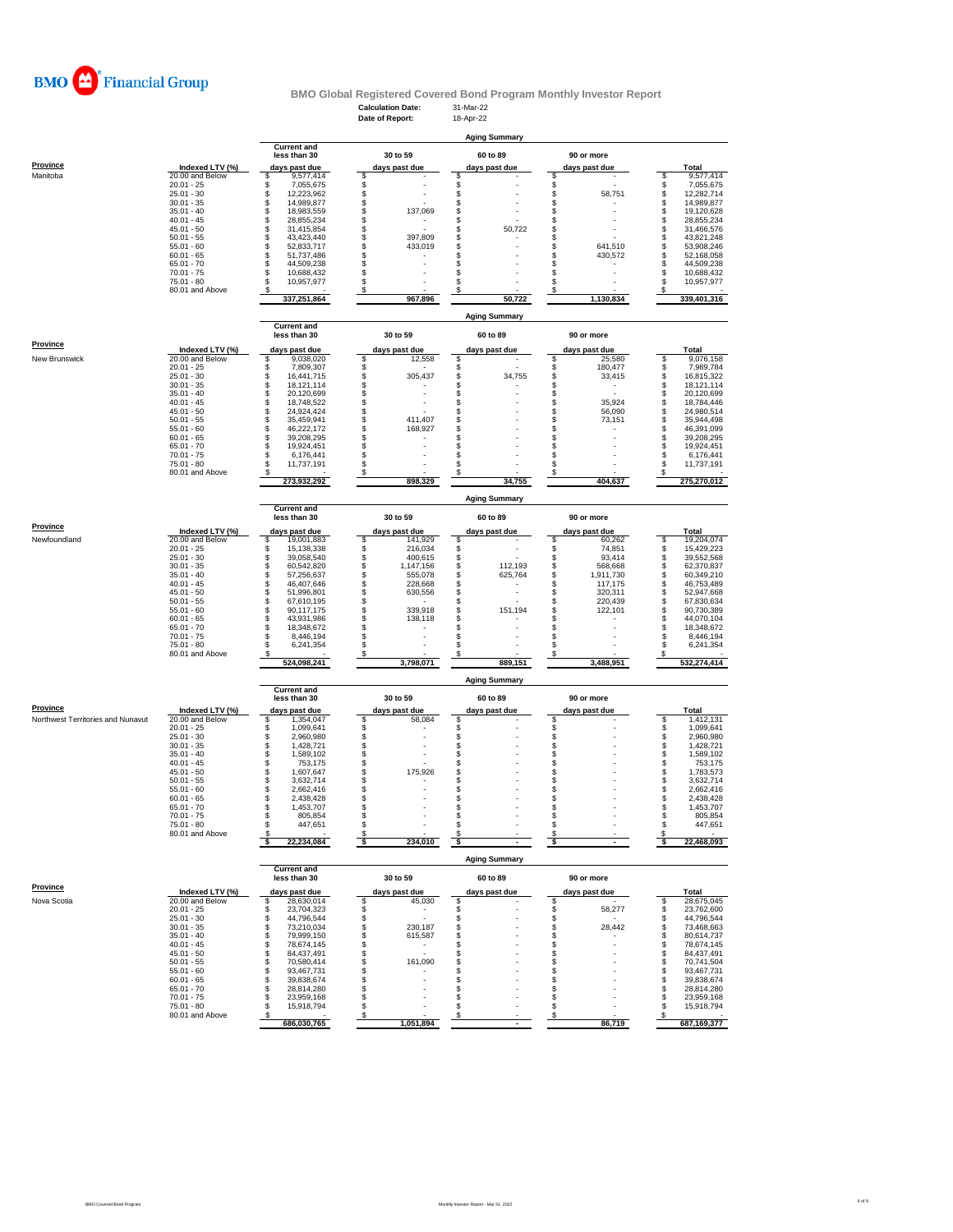

### **Calculation Date:** 31-Mar-22 **BMO Global Registered Covered Bond Program Monthly Investor Report**

|                                   |                                    |                                      | Date of Report:                                                  | 18-Apr-22                            |                               |                                           |
|-----------------------------------|------------------------------------|--------------------------------------|------------------------------------------------------------------|--------------------------------------|-------------------------------|-------------------------------------------|
|                                   |                                    |                                      |                                                                  |                                      |                               |                                           |
|                                   |                                    | <b>Current and</b>                   |                                                                  | <b>Aging Summary</b>                 |                               |                                           |
|                                   |                                    | less than 30                         | 30 to 59                                                         | 60 to 89                             | 90 or more                    |                                           |
| <b>Province</b>                   | Indexed LTV (%)                    | days past due                        | days past due                                                    | days past due                        | days past due                 | Total                                     |
| Manitoba                          | 20.00 and Below                    | \$<br>9,577,414                      | \$                                                               | \$                                   | \$                            | S<br>9,577,414                            |
|                                   | $20.01 - 25$<br>$25.01 - 30$       | \$<br>7,055,675<br>\$<br>12,223,962  | \$                                                               | \$                                   | \$<br>\$                      | \$<br>7,055,675<br>12.282.714             |
|                                   | $30.01 - 35$                       | \$<br>14,989,877                     | \$<br>\$                                                         | \$<br>\$                             | 58,751<br>\$                  | \$<br>\$<br>14,989,877                    |
|                                   | $35.01 - 40$                       | \$<br>18,983,559                     | \$<br>137,069                                                    | \$                                   | \$                            | \$<br>19,120,628                          |
|                                   | $40.01 - 45$                       | \$<br>28,855,234                     | \$<br>$\overline{\phantom{a}}$                                   | \$                                   | \$                            | \$<br>28,855,234                          |
|                                   | $45.01 - 50$                       | \$<br>31,415,854<br>\$               | \$                                                               | \$<br>50,722                         | \$                            | \$<br>31.466.576<br>s                     |
|                                   | $50.01 - 55$<br>$55.01 - 60$       | 43,423,440<br>\$<br>52,833,717       | 397,809<br>\$<br>433,019                                         | \$<br>\$                             | \$<br>\$<br>641,510           | 43,821,248<br>\$<br>53,908,246            |
|                                   | $60.01 - 65$                       | \$<br>51,737,486                     | \$                                                               | \$                                   | \$<br>430,572                 | \$<br>52,168,058                          |
|                                   | $65.01 - 70$                       | \$<br>44,509,238                     | \$                                                               | \$                                   | s                             | \$<br>44,509,238                          |
|                                   | $70.01 - 75$<br>$75.01 - 80$       | \$<br>10,688,432<br>\$<br>10,957,977 | \$<br>\$                                                         | \$<br>\$                             | s<br>s                        | s<br>10,688,432<br>\$<br>10,957,977       |
|                                   | 80.01 and Above                    | s                                    | \$                                                               | \$                                   | \$                            | s                                         |
|                                   |                                    | 337,251,864                          | 967,896                                                          | 50,722                               | 1,130,834                     | 339.401.316                               |
|                                   |                                    |                                      |                                                                  |                                      |                               |                                           |
|                                   |                                    | <b>Current and</b>                   |                                                                  | <b>Aging Summary</b>                 |                               |                                           |
|                                   |                                    | less than 30                         | 30 to 59                                                         | 60 to 89                             | 90 or more                    |                                           |
| Province                          |                                    |                                      |                                                                  |                                      |                               |                                           |
| New Brunswick                     | Indexed LTV (%)<br>20.00 and Below | days past due<br>\$<br>9,038,020     | days past due<br>\$<br>12,558                                    | days past due<br>\$                  | days past due<br>\$<br>25,580 | Total<br>\$<br>9,076,158                  |
|                                   | $20.01 - 25$                       | \$<br>7,809,307                      | \$                                                               | \$                                   | \$<br>180,477                 | \$<br>7,989,784                           |
|                                   | $25.01 - 30$                       | \$<br>16,441,715                     | \$<br>305,437                                                    | \$<br>34,755                         | \$<br>33,415                  | \$<br>16,815,322                          |
|                                   | $30.01 - 35$                       | \$<br>18,121,114                     | \$                                                               | \$                                   | \$<br>$\sim$                  | \$<br>18,121,114                          |
|                                   | $35.01 - 40$<br>$40.01 - 45$       | \$<br>20,120,699<br>\$<br>18,748,522 | \$<br>$\overline{\phantom{a}}$<br>\$<br>$\overline{\phantom{a}}$ | \$<br>\$                             | \$<br>\$<br>35,924            | \$<br>20,120,699<br>\$<br>18,784,446      |
|                                   | $45.01 - 50$                       | \$<br>24,924,424                     | \$                                                               | \$                                   | s<br>56,090                   | \$<br>24,980,514                          |
|                                   | $50.01 - 55$                       | \$<br>35.459.941                     | \$<br>411,407                                                    | \$                                   | s<br>73,151                   | \$<br>35,944,498                          |
|                                   | $55.01 - 60$                       | \$<br>46,222,172                     | 168,927                                                          | \$                                   | s                             | \$<br>46,391,099                          |
|                                   | $60.01 - 65$<br>$65.01 - 70$       | \$<br>39,208,295<br>\$<br>19,924,451 | \$<br>\$                                                         | \$<br>\$                             | \$<br>\$.                     | \$<br>39,208,295<br>\$<br>19,924,451      |
|                                   | $70.01 - 75$                       | \$<br>6,176,441                      | \$                                                               | \$                                   | s                             | \$<br>6.176.441                           |
|                                   | 75.01 - 80                         | s<br>11,737,191                      | \$                                                               | \$                                   | s                             | s<br>11,737,191                           |
|                                   | 80.01 and Above                    | 273,932,292                          | S<br>898,329                                                     | 34,755                               | 404,637                       | 275,270,012                               |
|                                   |                                    |                                      |                                                                  |                                      |                               |                                           |
|                                   |                                    |                                      |                                                                  | <b>Aging Summary</b>                 |                               |                                           |
|                                   |                                    | <b>Current and</b>                   |                                                                  |                                      |                               |                                           |
|                                   |                                    | less than 30                         | 30 to 59                                                         | 60 to 89                             | 90 or more                    |                                           |
| <b>Province</b>                   | Indexed LTV (%)                    | days past due                        | days past due                                                    | days past due                        | days past due                 | Total                                     |
| Newfoundland                      | 20.00 and Below<br>$20.01 - 25$    | 19,001,883<br>\$<br>S<br>15,138,338  | 141,929<br>\$<br>\$<br>216.034                                   | \$<br>\$                             | 60,262<br>\$<br>\$<br>74,851  | 19,204,074<br>s<br>\$<br>15.429.223       |
|                                   | $25.01 - 30$                       | \$<br>39,058,540                     | \$<br>400,615                                                    | \$                                   | \$<br>93,414                  | \$<br>39,552,568                          |
|                                   | $30.01 - 35$                       | \$<br>60,542,820                     | \$<br>1,147,156                                                  | \$<br>112,193                        | \$<br>568,668                 | \$<br>62,370,837                          |
|                                   | $35.01 - 40$                       | \$<br>57,256,637                     | \$<br>555,078                                                    | \$<br>625,764                        | \$<br>1,911,730               | \$<br>60,349,210                          |
|                                   | $40.01 - 45$<br>$45.01 - 50$       | \$<br>46,407,646<br>\$<br>51,996,801 | \$<br>228,668<br>\$<br>630,556                                   | \$<br>$\overline{\phantom{a}}$<br>\$ | \$<br>117,175<br>s<br>320,311 | \$<br>46,753,489<br>52,947,668            |
|                                   | $50.01 - 55$                       | \$<br>67,610,195                     | \$                                                               | \$                                   | \$<br>220,439                 | \$<br>\$<br>67,830,634                    |
|                                   | 55.01 - 60                         | \$<br>90,117,175                     | \$<br>339,918                                                    | \$<br>151,194                        | \$<br>122,101                 | \$<br>90,730,389                          |
|                                   | $60.01 - 65$                       | \$<br>43,931,986                     | \$<br>138,118                                                    | \$                                   | s                             | \$<br>44,070,104                          |
|                                   | $65.01 - 70$<br>$70.01 - 75$       | S<br>18,348,672<br>\$<br>8,446,194   | \$<br>\$<br>$\overline{a}$                                       | \$<br>\$                             | s<br>s                        | \$<br>18,348,672<br>\$<br>8,446,194       |
|                                   | 75.01 - 80                         | \$<br>6,241,354                      | \$                                                               | S                                    | S                             | \$<br>6,241,354                           |
|                                   | 80.01 and Above                    |                                      | \$                                                               | S                                    |                               |                                           |
|                                   |                                    | 524,098,241                          | 3,798,071                                                        | 889,151                              | 3,488,951                     | 532,274,414                               |
|                                   |                                    |                                      |                                                                  | <b>Aging Summary</b>                 |                               |                                           |
|                                   |                                    | <b>Current and</b>                   |                                                                  |                                      |                               |                                           |
|                                   |                                    | less than 30                         | 30 to 59                                                         | 60 to 89                             | 90 or more                    |                                           |
| <b>Province</b>                   | Indexed LTV (%)                    | days past due                        | days past due                                                    | days past due                        | days past due                 | Total                                     |
| Northwest Territories and Nunavut | 20.00 and Below                    | \$<br>1,354,047                      | \$<br>58,084                                                     | \$                                   | \$                            | \$<br>1,412,131                           |
|                                   | $20.01 - 25$                       | \$<br>1,099,641                      |                                                                  | \$                                   | \$<br>ś                       | \$<br>1,099,641                           |
|                                   | $25.01 - 30$<br>$30.01 - 35$       | \$<br>2,960,980<br>\$<br>1,428,721   | \$\$<br>$\overline{a}$                                           | \$<br>\$                             | \$                            | 2,960,980<br>\$<br>1,428,721              |
|                                   | $35.01 - 40$                       | \$<br>1,589,102                      | \$                                                               | \$                                   | \$                            | \$<br>1,589,102                           |
|                                   | $40.01 - 45$                       | \$<br>753,175                        | \$                                                               | \$                                   | \$                            | \$<br>753,175                             |
|                                   | $45.01 - 50$<br>$50.01 - 55$       | \$<br>1,607,647<br>\$<br>3,632,714   | \$<br>175,926<br>S                                               | \$                                   | \$<br>\$                      | \$<br>1,783,573<br>\$<br>3,632,714        |
|                                   | $55.01 - 60$                       | \$<br>2,662,416                      | S                                                                | \$<br>\$                             | \$                            | \$<br>2,662,416                           |
|                                   | $60.01 - 65$                       | \$<br>2.438.428                      | S                                                                | \$                                   | s                             | \$<br>2,438,428                           |
|                                   | $65.01 - 70$                       | \$<br>1,453,707                      | \$                                                               | \$                                   | s                             | \$<br>1,453,707                           |
|                                   | 70.01 - 75<br>$75.01 - 80$         | 805,854<br>\$<br>447,651             | \$                                                               | \$                                   | \$                            | 805,854<br>\$<br>447,651                  |
|                                   | 80.01 and Above                    |                                      | S                                                                | S                                    | s                             | S                                         |
|                                   |                                    | 22,234,084                           | 234,010<br>\$                                                    | \$                                   | \$                            | 22,468,093<br>-S                          |
|                                   |                                    |                                      |                                                                  |                                      |                               |                                           |
|                                   |                                    | <b>Current and</b>                   |                                                                  | <b>Aging Summary</b>                 |                               |                                           |
|                                   |                                    | less than 30                         | 30 to 59                                                         | 60 to 89                             | 90 or more                    |                                           |
| <b>Province</b>                   | Indexed LTV (%)                    | days past due                        | days past due                                                    | days past due                        | days past due                 | Total                                     |
| Nova Scotia                       | 20.00 and Below                    | 28,630,014<br>\$                     | \$<br>45,030                                                     | \$                                   | s                             | S<br>28,675,045                           |
|                                   | $20.01 - 25$                       | \$<br>23,704,323                     | \$<br>$\overline{\phantom{a}}$                                   | \$                                   | 58,277<br>\$                  | \$<br>23,762,600                          |
|                                   | $25.01 - 30$                       | \$<br>44,796,544                     | $\ddot{\$}$<br>$\overline{\phantom{a}}$                          | \$                                   | \$                            | \$<br>44,796,544                          |
|                                   | $30.01 - 35$<br>$35.01 - 40$       | \$<br>73,210,034<br>\$<br>79,999,150 | \$<br>230,187<br>\$<br>615,587                                   | \$<br>\$                             | \$<br>28,442<br>s             | \$<br>73,468,663<br>\$<br>80,614,737      |
|                                   | $40.01 - 45$                       | \$<br>78,674,145                     | \$                                                               | \$                                   | s                             | \$<br>78,674,145                          |
|                                   | $45.01 - 50$                       | \$<br>84,437,491                     | \$<br>$\overline{a}$                                             | \$                                   | \$                            | 84,437,491<br>\$                          |
|                                   | $50.01 - 55$<br>$55.01 - 60$       | \$<br>70,580,414<br>\$<br>93,467,731 | \$<br>161,090<br>\$                                              | \$<br>\$                             | s<br>s                        | \$<br>70,741,504<br>93,467,731<br>\$      |
|                                   | $60.01 - 65$                       | \$<br>39,838,674                     | \$                                                               | \$                                   | s                             | \$<br>39,838,674                          |
|                                   | $65.01 - 70$                       | \$<br>28,814,280                     | \$                                                               | \$                                   | \$                            | \$<br>28,814,280                          |
|                                   | $70.01 - 75$                       | \$<br>23,959,168                     | \$                                                               | \$                                   | \$                            | \$<br>23,959,168                          |
|                                   | $75.01 - 80$<br>80.01 and Above    | \$<br>15,918,794<br>s                | \$<br>\$                                                         | \$<br>\$                             | \$.<br>s                      | \$<br>15,918,794                          |
|                                   |                                    | 686,030,765                          | 1,051,894                                                        |                                      | 86,719                        | $\overline{\mathcal{L}}$<br>687, 169, 377 |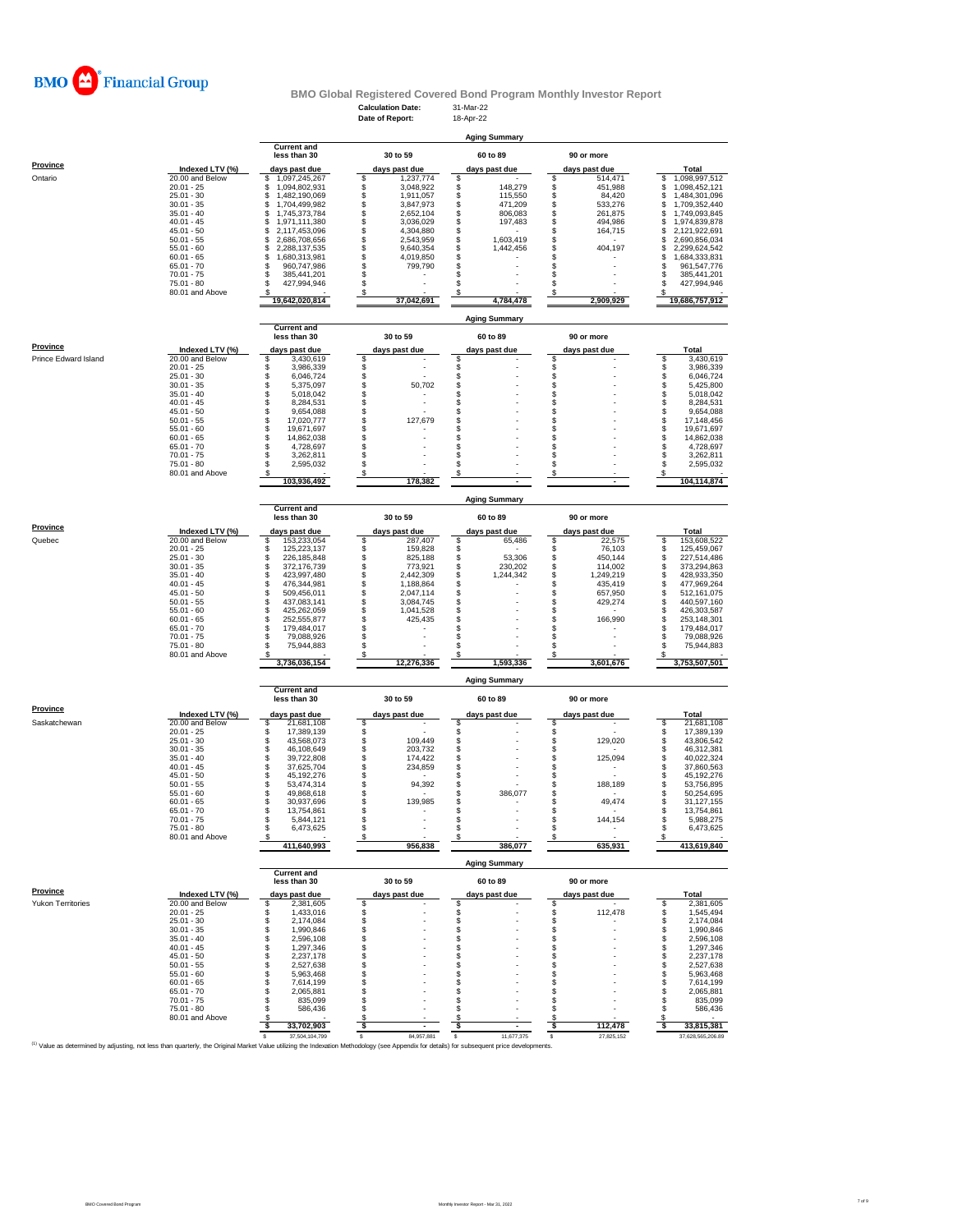

# **BMO Global Registered Covered Bond Program Monthly Investor Report**<br>Calculation Date: 31-Mar-22<br>Date of Report: 18-Apr-22

|                                                                                                                                                                                             |                                    |                                            | <b>Calculation Date:</b><br>Date of Report: | 31-Mar-22<br>18-Apr-22         |                                |                                            |
|---------------------------------------------------------------------------------------------------------------------------------------------------------------------------------------------|------------------------------------|--------------------------------------------|---------------------------------------------|--------------------------------|--------------------------------|--------------------------------------------|
|                                                                                                                                                                                             |                                    |                                            |                                             |                                |                                |                                            |
|                                                                                                                                                                                             |                                    | <b>Current and</b>                         |                                             | <b>Aging Summary</b>           |                                |                                            |
|                                                                                                                                                                                             |                                    | less than 30                               | 30 to 59                                    | 60 to 89                       | 90 or more                     |                                            |
| <b>Province</b>                                                                                                                                                                             | Indexed LTV (%)                    | days past due                              | days past due                               | days past due                  | days past due                  | Total                                      |
| Ontario                                                                                                                                                                                     | 20.00 and Below                    | 1,097,245,267<br>\$                        | \$<br>1,237,774<br>\$                       | \$<br>\$                       | 514,471<br>\$<br>\$            | 1,098,997,512<br>\$                        |
|                                                                                                                                                                                             | $20.01 - 25$<br>$25.01 - 30$       | \$<br>1,094,802,931<br>1,482,190,069<br>\$ | 3,048,922<br>\$<br>1,911,057                | 148,279<br>\$<br>115,550       | 451,988<br>\$<br>84,420        | \$<br>1,098,452,121<br>1,484,301,096<br>\$ |
|                                                                                                                                                                                             | $30.01 - 35$                       | \$<br>1,704,499,982                        | \$<br>3,847,973                             | 471,209<br>\$                  | \$<br>533,276                  | 1,709,352,440<br>\$                        |
|                                                                                                                                                                                             | $35.01 - 40$<br>$40.01 - 45$       | \$<br>1,745,373,784<br>\$<br>1,971,111,380 | \$<br>2,652,104<br>\$<br>3,036,029          | \$<br>806,083<br>\$<br>197,483 | \$<br>261,875<br>\$<br>494,986 | \$<br>1,749,093,845<br>\$<br>1,974,839,878 |
|                                                                                                                                                                                             | $45.01 - 50$                       | \$<br>2,117,453,096                        | \$<br>4,304,880                             | \$                             | \$<br>164,715                  | \$<br>2,121,922,691                        |
|                                                                                                                                                                                             | $50.01 - 55$<br>$55.01 - 60$       | \$<br>2,686,708,656<br>\$                  | \$<br>2,543,959<br>\$<br>9,640,354          | \$<br>1,603,419<br>\$          | \$<br>S<br>404,197             | \$<br>2,690,856,034<br>2,299,624,542<br>\$ |
|                                                                                                                                                                                             | $60.01 - 65$                       | 2,288,137,535<br>\$<br>1,680,313,981       | \$<br>4,019,850                             | 1,442,456<br>\$                | s                              | \$<br>1,684,333,831                        |
|                                                                                                                                                                                             | $65.01 - 70$                       | \$<br>960,747,986                          | \$<br>799,790                               | \$                             | s                              | 961,547,776<br>s                           |
|                                                                                                                                                                                             | $70.01 - 75$<br>75.01 - 80         | \$<br>385,441,201<br>427,994,946<br>S      | \$<br>\$                                    | \$<br>\$                       | s<br>s                         | 385,441,201<br>s<br>427,994,946<br>s       |
|                                                                                                                                                                                             | 80.01 and Above                    |                                            | S                                           |                                | \$                             |                                            |
|                                                                                                                                                                                             |                                    | 19,642,020,814                             | 37,042,691                                  | 4,784,478                      | 2,909,929                      | 19,686,757,912                             |
|                                                                                                                                                                                             |                                    |                                            |                                             | <b>Aging Summary</b>           |                                |                                            |
|                                                                                                                                                                                             |                                    | <b>Current and</b>                         |                                             |                                |                                |                                            |
| Province                                                                                                                                                                                    |                                    | less than 30                               | 30 to 59                                    | 60 to 89                       | 90 or more                     |                                            |
| Prince Edward Island                                                                                                                                                                        | Indexed LTV (%)<br>20.00 and Below | days past due<br>\$<br>3,430,619           | days past due<br>\$                         | days past due<br>\$            | days past due<br>\$            | Total<br>\$<br>3,430,619                   |
|                                                                                                                                                                                             | $20.01 - 25$                       | \$<br>3,986,339                            |                                             |                                |                                | 3,986,339<br>\$                            |
|                                                                                                                                                                                             | $25.01 - 30$                       | \$<br>6,046,724                            | \$\$                                        | \$\$                           | <b>\$</b><br>\$                | \$<br>6,046,724                            |
|                                                                                                                                                                                             | $30.01 - 35$<br>$35.01 - 40$       | 5,375,097<br>\$<br>5,018,042               | 50,702<br>\$                                | \$                             | \$                             | \$<br>5,425,800<br>\$<br>5,018,042         |
|                                                                                                                                                                                             | $40.01 - 45$                       | \$<br>8,284,531                            | \$                                          | \$                             | S                              | \$<br>8,284,531                            |
|                                                                                                                                                                                             | $45.01 - 50$<br>$50.01 - 55$       | \$<br>9,654,088<br>\$<br>17,020,777        | \$<br>\$<br>127,679                         | \$<br>\$                       | \$<br>\$                       | \$<br>9,654,088<br>\$<br>17,148,456        |
|                                                                                                                                                                                             | $55.01 - 60$                       | \$<br>19,671,697                           | \$                                          | \$                             | \$                             | \$<br>19,671,697                           |
|                                                                                                                                                                                             | $60.01 - 65$                       | \$<br>14.862.038                           | \$                                          | \$                             | S                              | \$<br>14,862,038                           |
|                                                                                                                                                                                             | $65.01 - 70$<br>70.01 - 75         | \$<br>4,728,697<br>\$<br>3,262,811         | \$<br>\$                                    | \$<br>\$                       | \$<br>\$                       | S<br>4,728,697<br>\$<br>3,262,811          |
|                                                                                                                                                                                             | $75.01 - 80$                       | \$<br>2,595,032                            | \$                                          | \$                             | \$                             | \$<br>2,595,032                            |
|                                                                                                                                                                                             | 80.01 and Above                    | s<br>103,936,492                           | -S<br>178,382                               | \$                             | s                              | s<br>104,114,874                           |
|                                                                                                                                                                                             |                                    |                                            |                                             |                                |                                |                                            |
|                                                                                                                                                                                             |                                    |                                            |                                             | <b>Aging Summary</b>           |                                |                                            |
|                                                                                                                                                                                             |                                    | <b>Current and</b><br>less than 30         | 30 to 59                                    | 60 to 89                       | 90 or more                     |                                            |
| Province                                                                                                                                                                                    |                                    |                                            |                                             |                                |                                |                                            |
| Quebec                                                                                                                                                                                      | Indexed LTV (%)<br>20.00 and Below | days past due<br>\$<br>153,233,054         | days past due<br>\$<br>287.407              | days past due<br>\$<br>65,486  | days past due<br>\$<br>22,575  | Total<br>153,608,522<br>\$                 |
|                                                                                                                                                                                             | $20.01 - 25$                       | \$<br>125,223,137                          | \$<br>159,828                               | \$                             | \$<br>76,103                   | \$<br>125,459,067                          |
|                                                                                                                                                                                             | $25.01 - 30$<br>$30.01 - 35$       | \$<br>226,185,848<br>\$<br>372,176,739     | \$<br>825,188<br>\$<br>773,921              | \$<br>53,306<br>\$<br>230,202  | \$<br>450,144<br>\$<br>114,002 | \$<br>227,514,486<br>\$<br>373,294,863     |
|                                                                                                                                                                                             | $35.01 - 40$                       | \$<br>423,997,480                          | \$<br>2,442,309                             | \$<br>1,244,342                | \$<br>1,249,219                | s<br>428,933,350                           |
|                                                                                                                                                                                             | $40.01 - 45$                       | \$<br>476,344,981                          | \$<br>1,188,864                             | \$                             | \$<br>435,419                  | \$<br>477,969,264                          |
|                                                                                                                                                                                             | $45.01 - 50$<br>$50.01 - 55$       | \$<br>509,456,011<br>\$<br>437,083,141     | \$<br>2,047,114<br>\$<br>3,084,745          | \$<br>\$                       | \$<br>657,950<br>\$<br>429,274 | \$<br>512,161,075<br>\$<br>440,597,160     |
|                                                                                                                                                                                             | $55.01 - 60$                       | \$<br>425,262,059                          | \$<br>1,041,528                             | \$                             | S                              | \$<br>426,303,587                          |
|                                                                                                                                                                                             | $60.01 - 65$                       | \$<br>252,555,877                          | 425,435                                     | \$                             | \$<br>166,990                  | \$<br>253,148,301                          |
|                                                                                                                                                                                             | $65.01 - 70$<br>$70.01 - 75$       | \$<br>179,484,017<br>\$<br>79,088,926      | \$<br>\$                                    | \$<br>\$                       | \$<br>\$                       | \$<br>179,484,017<br>S<br>79,088,926       |
|                                                                                                                                                                                             | 75.01 - 80                         | 75,944,883<br>s                            | \$                                          | \$                             | \$                             | S<br>75,944,883                            |
|                                                                                                                                                                                             | 80.01 and Above                    | 3,736,036,154                              | \$<br>12,276,336                            | \$<br>1,593,336                | S<br>3,601,676                 | 3,753,507,501                              |
|                                                                                                                                                                                             |                                    |                                            |                                             |                                |                                |                                            |
|                                                                                                                                                                                             |                                    |                                            |                                             | <b>Aging Summary</b>           |                                |                                            |
|                                                                                                                                                                                             |                                    | <b>Current and</b><br>less than 30         | 30 to 59                                    | 60 to 89                       | 90 or more                     |                                            |
| <b>Province</b>                                                                                                                                                                             |                                    |                                            |                                             |                                |                                |                                            |
| Saskatchewan                                                                                                                                                                                | Indexed LTV (%)<br>20.00 and Below | days past due<br>21,681,108<br>s           | days past due<br>\$                         | days past due<br>S             | days past due<br>\$            | Total<br>21,681,108<br>S                   |
|                                                                                                                                                                                             | $20.01 - 25$                       | \$<br>17,389,139                           | \$                                          | \$<br>\$                       | \$                             | 17,389,139<br>\$                           |
|                                                                                                                                                                                             | $25.01 - 30$<br>$30.01 - 35$       | \$<br>43,568,073<br>\$<br>46,108,649       | \$<br>109,449<br>\$<br>203,732              | Ś                              | \$<br>129,020<br>\$            | \$<br>43,806,542<br>\$<br>46,312,381       |
|                                                                                                                                                                                             | $35.01 - 40$                       | \$<br>39,722,808                           | \$<br>174,422                               | \$                             | \$<br>125,094                  | \$<br>40,022,324                           |
|                                                                                                                                                                                             | $40.01 - 45$                       | \$<br>37,625,704                           | \$<br>234,859                               | \$                             | \$                             | s<br>37,860,563                            |
|                                                                                                                                                                                             | $45.01 - 50$<br>$50.01 - 55$       | \$<br>45.192.276<br>\$<br>53,474,314       | \$<br>\$<br>94,392                          | \$<br>\$                       | S<br>\$<br>188,189             | s<br>45.192.276<br>s<br>53,756,895         |
|                                                                                                                                                                                             | $55.01 - 60$                       | \$<br>49,868,618                           | \$                                          | 386,077<br>\$                  | s                              | s<br>50,254,695                            |
|                                                                                                                                                                                             | 60.01 - 65<br>$65.01 - 70$         | 30 937 696<br>s                            | 139.985<br>\$                               | \$                             | 49,474<br>\$                   | 31 127 155<br>\$                           |
|                                                                                                                                                                                             | $70.01 - 75$                       | 13,754,861<br>\$<br>5,844,121              | \$                                          | \$                             | \$<br>144,154                  | 13,754,861<br>S<br>5,988,275               |
|                                                                                                                                                                                             | 75.01 - 80                         | \$<br>6,473,625                            | \$                                          | \$                             | \$                             | 6,473,625<br>\$.                           |
|                                                                                                                                                                                             | 80.01 and Above                    | s<br>411,640,993                           | -S<br>956,838                               | \$<br>386.077                  | s<br>635,931                   | 413,619,840                                |
|                                                                                                                                                                                             |                                    |                                            |                                             |                                |                                |                                            |
|                                                                                                                                                                                             |                                    | <b>Current and</b>                         |                                             | <b>Aging Summary</b>           |                                |                                            |
|                                                                                                                                                                                             |                                    | less than 30                               | 30 to 59                                    | 60 to 89                       | 90 or more                     |                                            |
| Province                                                                                                                                                                                    | Indexed LTV (%)                    | days past due                              | days past due                               | days past due                  | days past due                  | Total                                      |
| Yukon Territories                                                                                                                                                                           | 20.00 and Below                    | \$<br>2,381,605                            | \$                                          | \$                             | \$                             | S<br>2,381,605                             |
|                                                                                                                                                                                             | $20.01 - 25$                       | \$<br>1,433,016<br>2,174,084               | \$<br>\$                                    | \$                             | \$<br>112,478<br>\$            | \$<br>1,545,494                            |
|                                                                                                                                                                                             | $25.01 - 30$<br>$30.01 - 35$       | \$<br>\$<br>1,990,846                      | \$                                          | \$<br>\$                       | \$                             | 2,174,084<br>\$<br>S<br>1,990,846          |
|                                                                                                                                                                                             | $35.01 - 40$                       | \$<br>2,596,108                            | \$                                          | \$                             | \$                             | 2,596,108<br>S                             |
|                                                                                                                                                                                             | $40.01 - 45$<br>$45.01 - 50$       | \$<br>1,297,346<br>\$<br>2,237,178         | \$<br>\$                                    | \$<br>\$                       | \$<br>s                        | 1,297,346<br>S<br>2,237,178<br>S           |
|                                                                                                                                                                                             | $50.01 - 55$                       | \$<br>2.527.638                            | \$                                          | \$                             | s                              | \$<br>2,527,638                            |
|                                                                                                                                                                                             | $55.01 - 60$                       | \$<br>5,963,468                            | \$                                          | \$                             | s                              | S<br>5,963,468                             |
|                                                                                                                                                                                             | $60.01 - 65$<br>$65.01 - 70$       | \$<br>7,614,199<br>\$<br>2,065,881         | \$<br>\$                                    | \$<br>\$                       | s<br>s                         | S<br>7,614,199<br>\$<br>2,065,881          |
|                                                                                                                                                                                             | $70.01 - 75$                       | S<br>835,099                               | \$                                          | \$                             | S                              | 835,099<br>S                               |
|                                                                                                                                                                                             | 75.01 - 80                         | S<br>586,436                               | \$                                          | \$                             | S                              | 586,436                                    |
|                                                                                                                                                                                             |                                    |                                            |                                             |                                |                                |                                            |
|                                                                                                                                                                                             | 80.01 and Above                    | s<br>s                                     | S<br>- \$                                   | S<br>ŝ.                        | s<br>112,478                   | Я.<br>-S                                   |
| (1) Value as determined by adjusting, not less than quarterly, the Original Market Value utilizing the Indexation Methodology (see Appendix for details) for subsequent price developments. |                                    | 33,702,903<br>37,504,104,799               | 84,957,881<br>s                             | 11,677,375<br>s                | \$<br>s<br>27,825,152          | 33,815,381<br>37,628,565,206.89            |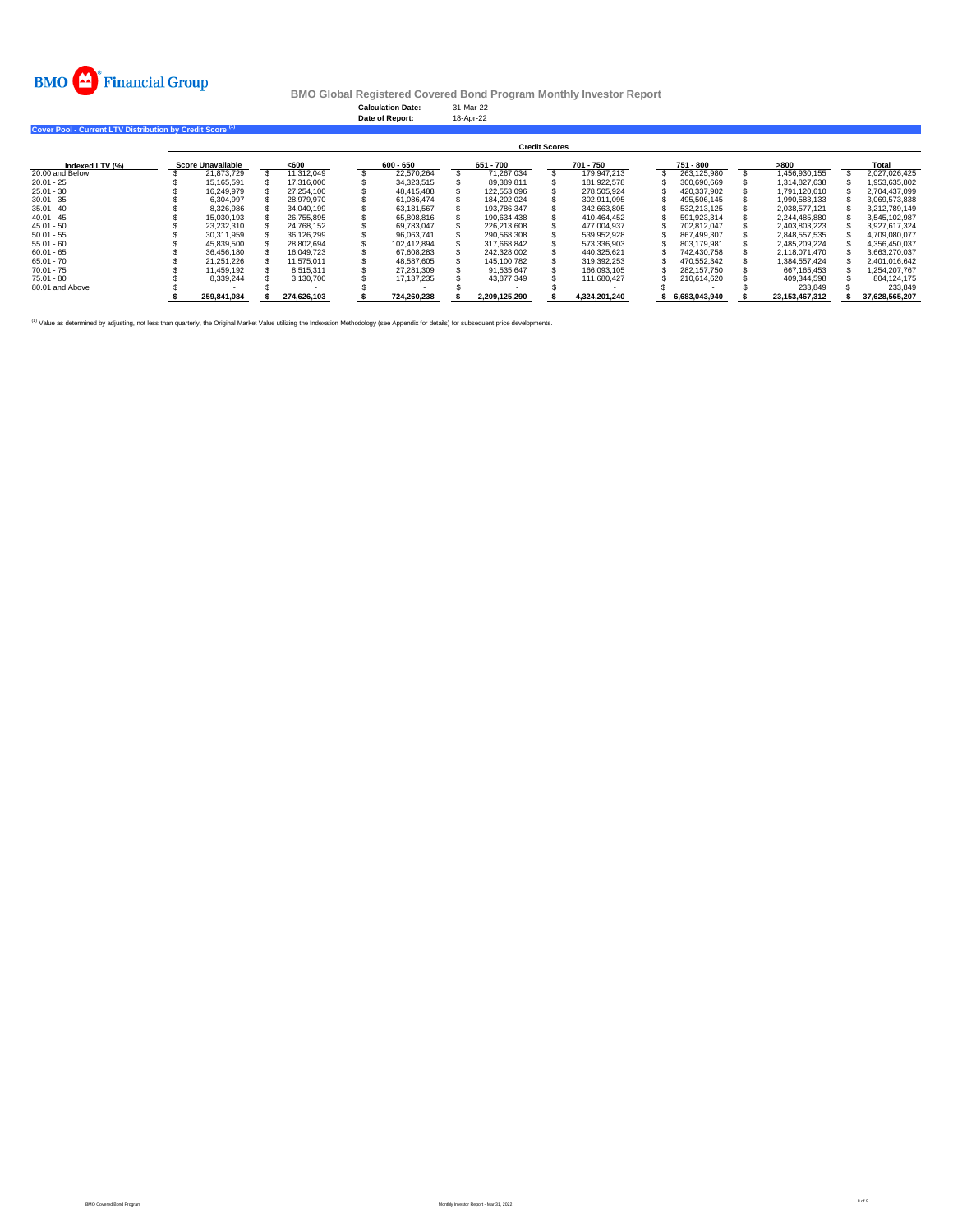

**Calculation Date:** 31-Mar-22 **Date of Report:** 18-Apr-22

**Cover Pool - Current LTV Distribution by Credit Score (1)** 

|                 | <b>Credit Scores</b>     |  |             |  |             |  |               |  |               |  |               |  |                |  |                |
|-----------------|--------------------------|--|-------------|--|-------------|--|---------------|--|---------------|--|---------------|--|----------------|--|----------------|
| Indexed LTV (%) | <b>Score Unavailable</b> |  | < 600       |  | $600 - 650$ |  | 651 - 700     |  | 701 - 750     |  | 751 - 800     |  | >800           |  | Total          |
| 20.00 and Below | 21.873.729               |  | 11.312.049  |  | 22.570.264  |  | 71.267.034    |  | 179.947.213   |  | 263.125.980   |  | 1.456.930.155  |  | 2.027.026.425  |
| $20.01 - 25$    | 15.165.591               |  | 17.316.000  |  | 34.323.515  |  | 89.389.811    |  | 181.922.578   |  | 300.690.669   |  | 1.314.827.638  |  | 1.953.635.802  |
| $25.01 - 30$    | 16.249.979               |  | 27.254.100  |  | 48.415.488  |  | 122.553.096   |  | 278.505.924   |  | 420.337.902   |  | 1.791.120.610  |  | 2.704.437.099  |
| $30.01 - 35$    | 6.304.997                |  | 28.979.970  |  | 61.086.474  |  | 184.202.024   |  | 302.911.095   |  | 495.506.145   |  | 1.990.583.133  |  | 3.069.573.838  |
| $35.01 - 40$    | 8.326.986                |  | 34.040.199  |  | 63.181.567  |  | 193.786.347   |  | 342.663.805   |  | 532.213.125   |  | 2.038.577.121  |  | 3.212.789.149  |
| $40.01 - 45$    | 15.030.193               |  | 26.755.895  |  | 65,808,816  |  | 190.634.438   |  | 410.464.452   |  | 591.923.314   |  | 2.244.485.880  |  | 3.545.102.987  |
| $45.01 - 50$    | 23.232.310               |  | 24.768.152  |  | 69.783.047  |  | 226.213.608   |  | 477.004.937   |  | 702.812.047   |  | 2.403.803.223  |  | 3.927.617.324  |
| $50.01 - 55$    | 30.311.959               |  | 36.126.299  |  | 96.063.741  |  | 290.568.308   |  | 539.952.928   |  | 867.499.307   |  | 2.848.557.535  |  | 4.709.080.077  |
| $55.01 - 60$    | 45.839.500               |  | 28.802.694  |  | 102.412.894 |  | 317.668.842   |  | 573.336.903   |  | 803.179.981   |  | 2.485.209.224  |  | 4.356.450.037  |
| $60.01 - 65$    | 36.456.180               |  | 16.049.723  |  | 67.608.283  |  | 242.328.002   |  | 440.325.621   |  | 742.430.758   |  | 2.118.071.470  |  | 3.663.270.037  |
| $65.01 - 70$    | 21.251.226               |  | 11.575.011  |  | 48.587.605  |  | 145.100.782   |  | 319.392.253   |  | 470.552.342   |  | 1.384.557.424  |  | 2.401.016.642  |
| $70.01 - 75$    | 11.459.192               |  | 8.515.311   |  | 27.281.309  |  | 91.535.647    |  | 166.093.105   |  | 282.157.750   |  | 667.165.453    |  | 1.254.207.767  |
| $75.01 - 80$    | 8,339,244                |  | 3.130.700   |  | 17.137.235  |  | 43.877.349    |  | 111.680.427   |  | 210.614.620   |  | 409.344.598    |  | 804.124.175    |
| 80.01 and Above |                          |  |             |  |             |  |               |  |               |  |               |  | 233,849        |  | 233,849        |
|                 | 259.841.084              |  | 274.626.103 |  | 724.260.238 |  | 2.209.125.290 |  | 4,324,201,240 |  | 6.683.043.940 |  | 23.153.467.312 |  | 37.628.565.207 |

<sup>(1)</sup> Value as determined by adjusting, not less than quarterly, the Original Market Value utilizing the Indexation Methodology (see Appendix for details) for subsequent price developments.